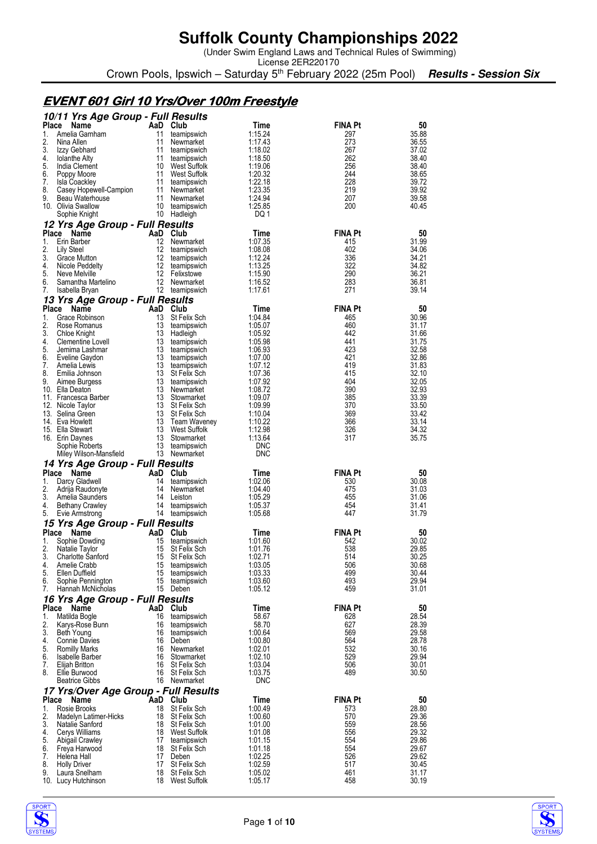(Under Swim England Laws and Technical Rules of Swimming)

License 2ER220170 Crown Pools, Ipswich – Saturday 5<sup>th</sup> February 2022 (25m Pool) **Results - Session Six** 

### **EVENT 601 Girl 10 Yrs/Over 100m Freestyle**

|             | 10/11 Yrs Age Group - Full Results        |                 |                               |                    |                       |                |
|-------------|-------------------------------------------|-----------------|-------------------------------|--------------------|-----------------------|----------------|
| Place       | Name                                      |                 | AaD Club                      | Time               | <b>FINA Pt</b>        | 50             |
| 1.<br>2.    | Amelia Garnham<br>Nina Allen              | 11<br>11        | teamipswich<br>Newmarket      | 1:15.24<br>1:17.43 | 297<br>273            | 35.88<br>36.55 |
| 3.          | Izzy Gebhard                              | 11              | teamipswich                   | 1:18.02            | 267                   | 37.02          |
| 4.          | <b>Iolanthe Alty</b>                      | 11              | teamipswich                   | 1:18.50            | 262                   | 38.40          |
| 5.          | India Clement                             |                 | 10 West Suffolk               | 1:19.06            | 256                   | 38.40          |
| 6.          | Poppy Moore                               | 11              | West Suffolk                  | 1:20.32            | 244                   | 38.65          |
| 7.          | <b>Isla Coackley</b>                      | 11              | teamipswich                   | 1:22.18            | 228                   | 39.72          |
| 8.<br>9.    | Casey Hopewell-Campion<br>Beau Waterhouse | 11<br>11        | Newmarket<br>Newmarket        | 1:23.35<br>1:24.94 | 219<br>207            | 39.92<br>39.58 |
|             | 10. Olivia Swallow                        | 10              | teamipswich                   | 1:25.85            | 200                   | 40.45          |
|             | Sophie Knight                             | 10              | Hadleigh                      | DQ 1               |                       |                |
|             | 12 Yrs Age Group - Full Results           |                 |                               |                    |                       |                |
| Place       | Name                                      |                 | AaD Club                      | Time               | <b>FINA Pt</b>        | 50             |
| 1.          | Erin Barber                               | 12              | Newmarket                     | 1:07.35            | 415                   | 31.99          |
| 2.          | Lily Steel                                | 12              | teamipswich                   | 1:08.08            | 402                   | 34.06          |
| 3.<br>4.    | Grace Mutton                              | 12              | teamipswich                   | 1:12.24            | 336<br>322            | 34.21<br>34.82 |
| 5.          | Nicole Peddelty<br>Neve Melville          | 12 <sup>2</sup> | teamipswich<br>12 Felixstowe  | 1:13.25<br>1:15.90 | 290                   | 36.21          |
| 6.          | Samantha Martelino                        | 12              | Newmarket                     | 1:16.52            | 283                   | 36.81          |
| 7.          | Isabella Bryan                            |                 | 12 teamipswich                | 1:17.61            | 271                   | 39.14          |
|             | 13 Yrs Age Group - Full Results           |                 |                               |                    |                       |                |
| Place       | <b>Name</b>                               | AaD             | Club                          | Time               | <b>FINA Pt</b>        | 50             |
| 1.          | Grace Robinson                            | 13              | St Felix Sch                  | 1.04.84            | 465                   | 30.96          |
| 2.          | Rose Romanus                              | 13              | teamipswich                   | 1:05.07            | 460                   | 31.17          |
| 3.<br>4.    | Chloe Knight<br>Clementine Lovell         | 13<br>13        | Hadleigh<br>teamipswich       | 1:05.92<br>1:05.98 | 442<br>441            | 31.66<br>31.75 |
| 5.          | Jemima Lashmar                            | 13              | teamipswich                   | 1:06.93            | 423                   | 32.58          |
| 6.          | Eveline Gaydon                            | 13              | teamipswich                   | 1:07.00            | 421                   | 32.86          |
| 7.          | Amelia Lewis                              | 13              | teamipswich                   | 1:07.12            | 419                   | 31.83          |
| 8.          | Emilia Johnson                            | 13              | St Felix Sch                  | 1:07.36            | 415                   | 32.10          |
| 9.          | Aimee Burgess                             | 13              | teamipswich                   | 1:07.92            | 404                   | 32.05          |
|             | 10. Ella Deaton                           | 13<br>13        | Newmarket                     | 1:08.72<br>1:09.07 | 390                   | 32.93<br>33.39 |
|             | 11. Francesca Barber<br>12. Nicole Taylor |                 | Stowmarket<br>13 St Felix Sch | 1:09.99            | 385<br>370            | 33.50          |
|             | 13. Selina Green                          | 13              | St Felix Sch                  | 1:10.04            | 369                   | 33.42          |
|             | 14. Eva Howlett                           | 13              | Team Waveney                  | 1:10.22            | 366                   | 33.14          |
|             | 15. Ella Stewart                          |                 | 13 West Suffolk               | 1:12.98            | 326                   | 34.32          |
|             | 16. Erin Daynes                           | 13              | Stowmarket                    | 1:13.64            | 317                   | 35.75          |
|             |                                           |                 |                               |                    |                       |                |
|             | Sophie Roberts                            | 13              | teamipswich                   | DNC                |                       |                |
|             | Miley Wilson-Mansfield                    |                 | 13 Newmarket                  | <b>DNC</b>         |                       |                |
|             | 14 Yrs Age Group - Full Results           |                 |                               |                    |                       |                |
| Place       | Name                                      |                 | AaD Club                      | Time               | FINA Pt               | 50             |
| 1.          | Darcy Gladwell                            | 14<br>14        | teamipswich                   | 1:02.06            | 530                   | 30.08          |
| 2.<br>3.    | Adrija Raudonyte<br>Amelia Saunders       |                 | Newmarket<br>14 Leiston       | 1:04.40<br>1:05.29 | 475<br>455            | 31.03<br>31.06 |
| 4.          | <b>Bethany Crawley</b>                    | 14              | teamipswich                   | 1:05.37            | 454                   | 31.41          |
| 5.          | Evie Armstrong                            |                 | 14 teamipswich                | 1:05.68            | 447                   | 31.79          |
|             | 15 Yrs Age Group - Full Results           |                 |                               |                    |                       |                |
| Place       | Name                                      | AaD             | Club                          | Time               | <b>FINA Pt</b>        | 50             |
| 1.          | Sophie Dowding                            | 15              | teamipswich                   | 1:01.60            | 542                   | 30.02          |
| 2.          | Natalie Taylor                            | 15              | St Felix Sch                  | 1:01.76            | 538                   | 29.85          |
| 3.<br>4.    | <b>Charlotte Sanford</b><br>Amelie Crabb  | 15<br>15        | St Felix Sch                  | 1:02.71<br>1:03.05 | 514<br>506            | 30.25<br>30.68 |
| 5.          | Ellen Duffield                            | 15              | teamipswich<br>teamipswich    | 1:03.33            | 499                   | 30.44          |
| 6.          | Sophie Pennington                         | 15              | teamipswich                   | 1:03.60            | 493                   | 29.94          |
| 7.          | Hannah McNicholas                         |                 | 15 Deben                      | 1:05.12            | 459                   | 31.01          |
|             | 16 Yrs Age Group - Full Results           |                 |                               |                    |                       |                |
| Place       | Name                                      |                 | AaD Club                      | Time               | <b>FINA Pt</b>        | 50             |
| 1.          | Matilda Bogle                             | 16              | teamipswich                   | 58.67              | 628                   | 28.54          |
| 2.          | Karys-Rose Bunn                           | 16              | teamipswich                   | 58.70              | 627                   | 28.39          |
| 3.<br>4.    | Beth Young<br><b>Connie Davies</b>        | 16<br>16        | teamipswich<br>Deben          | 1:00.64<br>1:00.80 | 569<br>564            | 29.58<br>28.78 |
| 5.          | <b>Romilly Marks</b>                      | 16              | Newmarket                     | 1:02.01            | 532                   | 30.16          |
| 6.          | Isabelle Barber                           | 16              | Stowmarket                    | 1:02.10            | 529                   | 29.94          |
| 7.          | Elijah Britton                            | 16              | St Felix Sch                  | 1:03.04            | 506                   | 30.01          |
| 8.          | Ellie Burwood                             | 16              | St Felix Sch                  | 1:03.75            | 489                   | 30.50          |
|             | <b>Beatrice Gibbs</b>                     |                 | 16 Newmarket                  | DNC                |                       |                |
|             | 17 Yrs/Over Age Group - Full Results      |                 |                               |                    |                       |                |
| Place<br>1. | Name<br>Rosie Brooks                      | AaD<br>18       | Club<br>St Felix Sch          | Time<br>1:00.49    | <b>FINA Pt</b><br>573 | 50<br>28.80    |
| 2.          | Madelyn Latimer-Hicks                     | 18              | St Felix Sch                  | 1:00.60            | 570                   | 29.36          |
| 3.          | Natalie Santord                           | 18              | St Felix Sch                  | 1:01.00            | 559                   | 28.56          |
| 4.          | Cerys Williams                            | 18              | West Suffolk                  | 1:01.08            | 556                   | 29.32          |
| 5.          | <b>Abigail Crawley</b>                    | 17              | teamipswich                   | 1:01.15            | 554                   | 29.86          |
| 6.<br>7.    | Freya Harwood<br>Helena Hall              | 18<br>17        | St Felix Sch<br>Deben         | 1:01.18<br>1:02.25 | 554<br>526            | 29.67<br>29.62 |
| 8.          | <b>Holly Driver</b>                       | 17              | St Felix Sch                  | 1:02.59            | 517                   | 30.45          |
| 9.          | Laura Snelham<br>10. Lucy Hutchinson      | 18<br>18        | St Felix Sch<br>West Suffolk  | 1:05.02<br>1:05.17 | 461<br>458            | 31.17<br>30.19 |



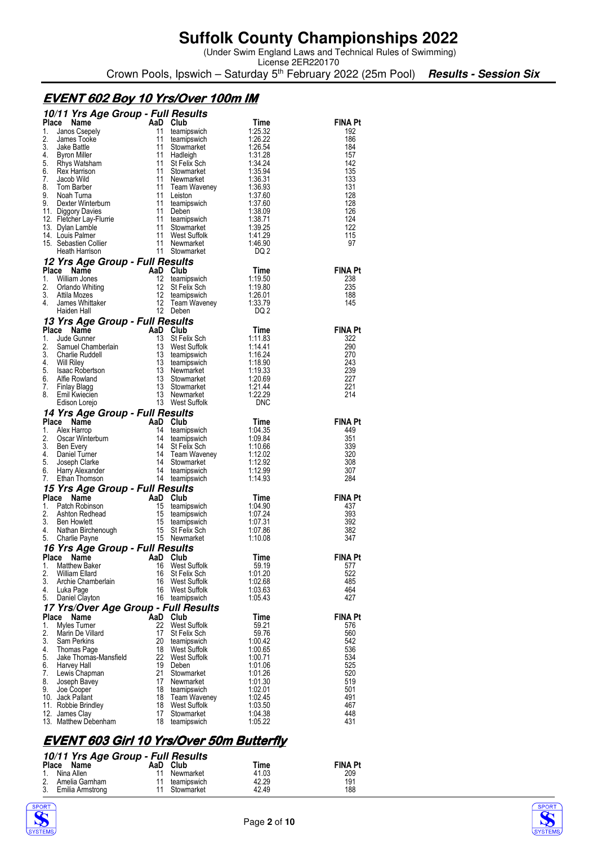(Under Swim England Laws and Technical Rules of Swimming)

License 2ER220170 Crown Pools, Ipswich – Saturday 5<sup>th</sup> February 2022 (25m Pool) **Results - Session Six** 

### **EVENT602 Boy 10 Yrs/Over 100m IM 602 Boy 10 Yrs/Over 100m IM 602**

|          | 10/11 Yrs Age Group - Full Results                                                                                                                                                                                                                                                       |                                    |                                                                                                                     |                    |                       |
|----------|------------------------------------------------------------------------------------------------------------------------------------------------------------------------------------------------------------------------------------------------------------------------------------------|------------------------------------|---------------------------------------------------------------------------------------------------------------------|--------------------|-----------------------|
|          | Place<br>Name                                                                                                                                                                                                                                                                            | AaD Club                           |                                                                                                                     | Time               | FINA Pt               |
| 1.<br>2. | Janos Csepely<br>James Tooke                                                                                                                                                                                                                                                             | 11<br>11                           | teamipswich<br>teamipswich                                                                                          | 1:25.32<br>1.26.22 | 192<br>186            |
| 3.       | Jake Battle                                                                                                                                                                                                                                                                              | 11                                 | Stowmarket                                                                                                          | 1:26.54            | 184                   |
| 4.       | Byron Miller                                                                                                                                                                                                                                                                             | 11                                 | Hadleigh                                                                                                            | 1:31.28            | 157                   |
| 5.       | Rhys Watsham                                                                                                                                                                                                                                                                             | 11                                 | St Felix Sch                                                                                                        | 1:34.24            | 142                   |
| 6.<br>7. | Rex Harrison<br>Jacob Wild                                                                                                                                                                                                                                                               | 11<br>11                           | Stowmarket<br>Newmarket                                                                                             | 1:35.94<br>1:36.31 | 135<br>133            |
| 8.       | Tom Barber                                                                                                                                                                                                                                                                               | 11                                 | Team Waveney                                                                                                        | 1:36.93            | 131                   |
| 9.       | Noah Turna                                                                                                                                                                                                                                                                               | 11                                 | Leiston                                                                                                             | 1:37.60            | 128                   |
| 9.       | Dexter Winterburn                                                                                                                                                                                                                                                                        | 11                                 | teamipswich                                                                                                         | 1:37.60            | 128                   |
|          | 11. Diggory Davies<br>12. Fletcher Lay-Flurrie                                                                                                                                                                                                                                           | 11<br>11                           | Deben<br>teamipswich                                                                                                | 1:38.09<br>1:38.71 | 126<br>124            |
|          | 13. Dylan Lamble                                                                                                                                                                                                                                                                         |                                    | Stowmarket                                                                                                          | 1:39.25            | 122                   |
|          | 14. Louis Palmer                                                                                                                                                                                                                                                                         |                                    | West Suffolk                                                                                                        | 1:41.29            | 115                   |
|          | 15. Sebastien Collier                                                                                                                                                                                                                                                                    |                                    | Newmarket                                                                                                           | 1:46.90            | 97                    |
|          | Heath Harrison                                                                                                                                                                                                                                                                           | $\frac{11}{11}$<br>$\frac{11}{11}$ | 11 Stowmarket                                                                                                       | DQ 2               |                       |
|          | 12 Yrs Age Group - Full Results<br>Place<br>Name                                                                                                                                                                                                                                         | AaD Club                           |                                                                                                                     | Time               | <b>FINA Pt</b>        |
| 1.       | William Jones                                                                                                                                                                                                                                                                            | 12                                 | teamipswich                                                                                                         | 1:19.50            | 238                   |
| 2.       | Orlando Whiting                                                                                                                                                                                                                                                                          | 12                                 | St Felix Sch                                                                                                        | 1:19.80            | 235                   |
| 3.       | Attila Mozes                                                                                                                                                                                                                                                                             | $12 \overline{ }$                  | teamipswich                                                                                                         | 1:26.01            | 188                   |
| 4.       | James Whittaker                                                                                                                                                                                                                                                                          | 12                                 | Team Waveney<br>12 Deben                                                                                            | 1:33.79            | 145                   |
|          | Haiden Hall                                                                                                                                                                                                                                                                              |                                    |                                                                                                                     | DQ 2               |                       |
|          | 13 Yrs Age Group - Full Results<br>Place Name                                                                                                                                                                                                                                            | AaD Club                           |                                                                                                                     | Time               | <b>FINA Pt</b>        |
| 1.       | Jude Gunner                                                                                                                                                                                                                                                                              | 13                                 | St Felix Sch                                                                                                        | 1:11.83            | 322                   |
| 2.       | Samuel Chamberlain<br>Charlie Ruddell                                                                                                                                                                                                                                                    |                                    | 13 West Suffolk                                                                                                     | 1:14.41            | 290                   |
| 3.       | Charlie Ruddell                                                                                                                                                                                                                                                                          |                                    | 13 teamipswich                                                                                                      | 1:16.24            | 270                   |
| 4.<br>5. | <b>Will Riley</b><br>Isaac Robertson                                                                                                                                                                                                                                                     | 13                                 | teamipswich<br>13 Newmarket                                                                                         | 1:18.90<br>1:19.33 | 243<br>239            |
| 6.       | Alfie Rowland                                                                                                                                                                                                                                                                            | 13                                 | Stowmarket                                                                                                          | 1:20.69            | 227                   |
| 7.       | Finlay Blagg                                                                                                                                                                                                                                                                             | $\frac{13}{13}$                    | Stowmarket                                                                                                          | 1:21.44            | 221                   |
| 8.       | Emil Kwiecien                                                                                                                                                                                                                                                                            |                                    | 13 Newmarket                                                                                                        | 1:22.29            | 214                   |
|          | Edison Lorejo                                                                                                                                                                                                                                                                            |                                    | 13 West Suffolk                                                                                                     | <b>DNC</b>         |                       |
|          | 14 Yrs Age Group - Full Results<br>Edison Lury<br><b>Yrs Age Group - r u</b><br>2. <b>Name</b> AaD Club<br>Alex Harrop 14 teamipswich<br>Oscar Winterburn 14 St Felix Sch<br>Ben Every 14 St Felix Sch<br>Daniel Turner 14 Team Waveney<br>Joseph Clarke 14 Stowmarket<br>Larry Alexande |                                    |                                                                                                                     |                    |                       |
| 1.       | Place                                                                                                                                                                                                                                                                                    |                                    |                                                                                                                     | Time<br>1:04.35    | <b>FINA Pt</b><br>449 |
| 2.       |                                                                                                                                                                                                                                                                                          |                                    |                                                                                                                     | 1:09.84            | 351                   |
| 3.       |                                                                                                                                                                                                                                                                                          |                                    |                                                                                                                     | 1:10.66            | 339                   |
| 4.       |                                                                                                                                                                                                                                                                                          |                                    |                                                                                                                     | 1:12.02            | 320                   |
| 5.<br>6. |                                                                                                                                                                                                                                                                                          |                                    |                                                                                                                     | 1:12.92<br>1:12.99 | 308<br>307            |
| 7.       |                                                                                                                                                                                                                                                                                          |                                    |                                                                                                                     | 1:14.93            | 284                   |
|          | 15 Yrs Age Group - Full Results                                                                                                                                                                                                                                                          |                                    |                                                                                                                     |                    |                       |
|          |                                                                                                                                                                                                                                                                                          |                                    |                                                                                                                     |                    |                       |
|          | Place Name                                                                                                                                                                                                                                                                               |                                    |                                                                                                                     | Time               | <b>FINA Pt</b>        |
| 1.       | Patch Robinson                                                                                                                                                                                                                                                                           |                                    |                                                                                                                     | 1:04.90            | 437                   |
| 2.       | Ashton Redhead                                                                                                                                                                                                                                                                           |                                    |                                                                                                                     | 1:07.24            | 393                   |
| 3.       | <b>Ben Howlett</b>                                                                                                                                                                                                                                                                       |                                    |                                                                                                                     | 1:07.31            | 392                   |
| 4.<br>5. | <b>Den Flowlow</b><br>Nathan Birchenough<br>Charlie Payne                                                                                                                                                                                                                                |                                    | $p - p$<br>15 teamipswww.<br>15 teamipswich<br>15 teamipswich<br>15 St Felix Sch<br>15 St Felix Sch<br>15 Newmarket | 1:07.86<br>1:10.08 | 382<br>347            |
|          |                                                                                                                                                                                                                                                                                          |                                    |                                                                                                                     |                    |                       |
|          | 16 Yrs Age Group - Full Results<br>Place Name AaD Club                                                                                                                                                                                                                                   |                                    |                                                                                                                     | Time               | <b>FINA Pt</b>        |
| 1.       | <b>Matthew Baker</b>                                                                                                                                                                                                                                                                     | 16                                 | West Suffolk                                                                                                        | 59.19              | 577                   |
| 2.       | <b>William Ellard</b>                                                                                                                                                                                                                                                                    | 16                                 | St Felix Sch                                                                                                        | 1:01.20            | 522                   |
| 3.<br>4. | Archie Chamberlain                                                                                                                                                                                                                                                                       | 16<br>16                           | West Suffolk<br>West Suffolk                                                                                        | 1:02.68            | 485<br>464            |
| 5.       | Luka Page<br>Daniel Clayton                                                                                                                                                                                                                                                              | 16                                 | teamipswich                                                                                                         | 1:03.63<br>1:05.43 | 427                   |
|          | 17 Yrs/Over Age Group - Full Results                                                                                                                                                                                                                                                     |                                    |                                                                                                                     |                    |                       |
|          | Place<br>Name                                                                                                                                                                                                                                                                            | AaD Club                           |                                                                                                                     | Time               | <b>FINA Pt</b>        |
| 1.       | Myles Turner                                                                                                                                                                                                                                                                             | 22                                 | <b>West Suffolk</b>                                                                                                 | 59.21              | 576                   |
| 2.<br>3. | Marin De Villard<br>Sam Perkins                                                                                                                                                                                                                                                          | 17<br>20                           | St Felix Sch<br>teamipswich                                                                                         | 59.76<br>1:00.42   | 560<br>542            |
| 4.       | Thomas Page                                                                                                                                                                                                                                                                              | 18                                 | West Suffolk                                                                                                        | 1:00.65            | 536                   |
| 5.       | Jake Thomas-Mansfield                                                                                                                                                                                                                                                                    | 22                                 | <b>West Suffolk</b>                                                                                                 | 1:00.71            | 534                   |
| 6.       | Harvey Hall                                                                                                                                                                                                                                                                              | 19                                 | Deben                                                                                                               | 1:01.06            | 525                   |
| 7.       | Lewis Chapman                                                                                                                                                                                                                                                                            | 21<br>17                           | Stowmarket                                                                                                          | 1:01.26            | 520                   |
| 8.<br>9. | Joseph Bavey<br>Joe Cooper                                                                                                                                                                                                                                                               | 18                                 | Newmarket<br>teamipswich                                                                                            | 1:01.30<br>1:02.01 | 519<br>501            |
|          | 10. Jack Pallant                                                                                                                                                                                                                                                                         | 18                                 | Team Waveney                                                                                                        | 1:02.45            | 491                   |
|          | 11. Robbie Brindley                                                                                                                                                                                                                                                                      | 18                                 | West Suffolk                                                                                                        | 1:03.50            | 467                   |
|          | 12. James Clay<br>13. Matthew Debenham                                                                                                                                                                                                                                                   | 17<br>18                           | Stowmarket<br>teamipswich                                                                                           | 1:04.38<br>1:05.22 | 448<br>431            |

### **EVENT603 Girl 10 Yrs/Over 50m Butterfly 603 Girl 10 Yrs/Over 50m Butterfly 603 50m Butterfly**

#### **10/11 Yrs Age Group - Full Results**

| Place Name          | AaD Club       | Time  | <b>FINA Pt</b> |  |
|---------------------|----------------|-------|----------------|--|
| 1. Nina Allen       | 11 Newmarket   | 41.03 | 209            |  |
| 2. Amelia Garnham   | 11 teamipswich | 42.29 | 191            |  |
| 3. Emilia Armstrong | 11 Stowmarket  | 42.49 | 188            |  |



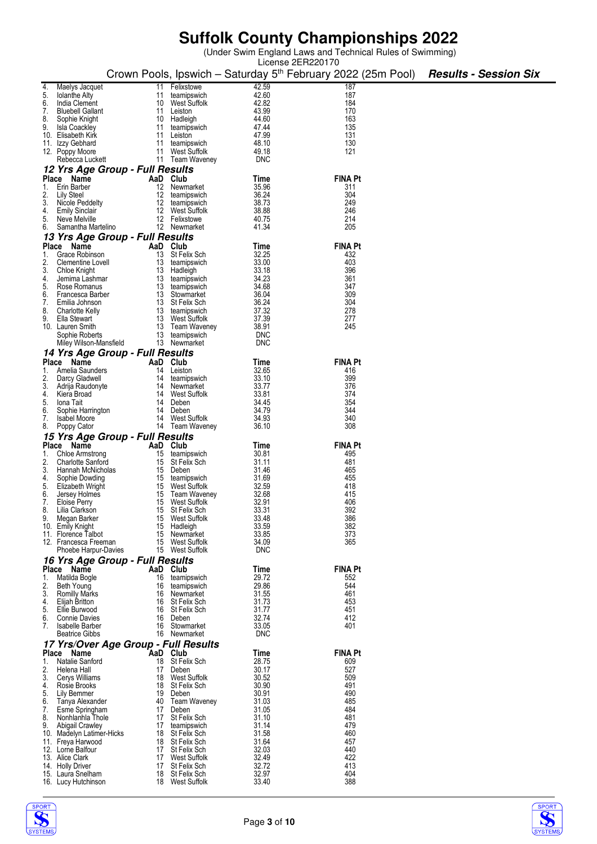(Under Swim England Laws and Technical Rules of Swimming)

|          |                                          |                                      |                                 |                | License 2ER220170                                                        |                              |
|----------|------------------------------------------|--------------------------------------|---------------------------------|----------------|--------------------------------------------------------------------------|------------------------------|
|          |                                          |                                      |                                 |                | Crown Pools, Ipswich - Saturday 5 <sup>th</sup> February 2022 (25m Pool) | <b>Results - Session Six</b> |
|          |                                          |                                      |                                 |                |                                                                          |                              |
| 4.       | Maelys Jacquet                           | 11                                   | Felixstowe                      | 42.59<br>42.60 | 187<br>187                                                               |                              |
| 5.<br>6. | <b>Iolanthe Alty</b><br>India Clement    | 11<br>10                             | teamipswich<br>West Suffolk     | 42.82          | 184                                                                      |                              |
| 7.       | <b>Bluebell Gallant</b>                  | 11                                   | Leiston                         | 43.99          | 170                                                                      |                              |
| 8.       | Sophie Knight                            | 10                                   | Hadleigh                        | 44.60          | 163                                                                      |                              |
| 9.       | Isla Coackley                            | 11                                   | teamipswich                     | 47.44          | 135                                                                      |                              |
|          | 10. Elisabeth Kirk                       | 11                                   | Leiston                         | 47.99          | 131                                                                      |                              |
|          | 11. Izzy Gebhard                         | 11                                   | teamipswich                     | 48.10          | 130                                                                      |                              |
|          | 12. Poppy Moore                          | 11                                   | <b>West Suffolk</b>             | 49.18          | 121                                                                      |                              |
|          | Rebecca Luckett                          |                                      | 11 Team Waveney                 | <b>DNC</b>     |                                                                          |                              |
|          |                                          | 12 Yrs Age Group - Full Results      |                                 |                |                                                                          |                              |
|          | Place Name                               | AaD                                  | Club                            | Time           | <b>FINA Pt</b>                                                           |                              |
| 1.       | Erin Barber                              | 12                                   | Newmarket                       | 35.96          | 311                                                                      |                              |
| 2.       | Lily Steel                               | 12                                   | teamipswich                     | 36.24          | 304                                                                      |                              |
| 3.       | Nicole Peddelty                          | 12                                   | teamipswich                     | 38.73          | 249                                                                      |                              |
| 4.       | <b>Emily Sinclair</b>                    | 12                                   | West Suffolk                    | 38.88          | 246                                                                      |                              |
| 5.       | Neve Melville                            | 12                                   | Felixstowe                      | 40.75          | 214                                                                      |                              |
| 6.       | Samantha Martelino                       |                                      | 12 Newmarket                    | 41.34          | 205                                                                      |                              |
|          |                                          | 13 Yrs Age Group - Full Results      |                                 |                |                                                                          |                              |
|          | Place Name                               | AaD                                  | Club                            | Time           | <b>FINA Pt</b>                                                           |                              |
| 1.       | Grace Robinson                           | 13                                   | St Felix Sch                    | 32.25          | 432                                                                      |                              |
| 2.       | Clementine Lovell<br><b>Chloe Knight</b> | 13                                   | teamipswich                     | 33.00<br>33.18 | 403<br>396                                                               |                              |
| 3.<br>4. | Jemima Lashmar                           | 13<br>13                             | Hadleigh<br>teamipswich         | 34.23          | 361                                                                      |                              |
| 5.       | Rose Romanus                             | 13                                   | teamipswich                     | 34.68          | 347                                                                      |                              |
| 6.       | Francesca Barber                         | 13                                   | Stowmarket                      | 36.04          | 309                                                                      |                              |
| 7.       | Emilia Johnson                           | 13                                   | St Felix Sch                    | 36.24          | 304                                                                      |                              |
| 8.       | <b>Charlotte Kelly</b>                   | 13                                   | teamipswich                     | 37.32          | 278                                                                      |                              |
| 9.       | Ella Stewart                             | 13                                   | West Suffolk                    | 37.39          | 277                                                                      |                              |
|          | 10. Lauren Smith                         | 13                                   | Team Waveney                    | 38.91          | 245                                                                      |                              |
|          | Sophie Roberts                           | 13                                   | teamipswich                     | <b>DNC</b>     |                                                                          |                              |
|          | Miley Wilson-Mansfield                   | 13                                   | Newmarket                       | <b>DNC</b>     |                                                                          |                              |
|          |                                          | 14 Yrs Age Group - Full Results      |                                 |                |                                                                          |                              |
|          | Place Name                               | AaD Club                             |                                 | Time           | <b>FINA Pt</b>                                                           |                              |
| 1.       | Amelia Saunders                          | 14                                   | Leiston                         | 32.65          | 416                                                                      |                              |
| 2.       | Darcy Gladwell                           | 14                                   | teamipswich                     | 33.10          | 399                                                                      |                              |
| 3.       | Adrija Raudonyte                         | 14                                   | Newmarket                       | 33.77          | 376                                                                      |                              |
| 4.       | Kiera Broad                              | 14                                   | West Suffolk                    | 33.81          | 374                                                                      |                              |
| 5.       | Iona Tait                                | 14                                   | Deben                           | 34.45          | 354                                                                      |                              |
| 6.       | Sophie Harrington                        | 14                                   | Deben                           | 34.79          | 344                                                                      |                              |
| 7.       | <b>Isabel Moore</b>                      | 14                                   | West Suffolk                    | 34.93          | 340                                                                      |                              |
| 8.       | Poppy Cator                              |                                      | 14 Team Waveney                 | 36.10          | 308                                                                      |                              |
|          |                                          | 15 Yrs Age Group - Full Results      |                                 |                |                                                                          |                              |
|          | Place Name                               | AaD Club                             |                                 | Time           | <b>FINA Pt</b>                                                           |                              |
| 1.       | Chloe Armstrong                          | 15                                   | teamipswich                     | 30.81          | 495                                                                      |                              |
| 2.       | <b>Charlotte Sanford</b>                 | 15                                   | St Felix Sch                    | 31.11          | 481                                                                      |                              |
| 3.       | Hannah McNicholas                        | 15                                   | Deben                           | 31.46          | 465                                                                      |                              |
| 4.<br>5. | Sophie Dowding<br>Elizabeth Wright       | 15<br>15                             | teamipswich<br>West Suffolk     | 31.69<br>32.59 | 455<br>418                                                               |                              |
| 6.       | Jersey Holmes                            | 15                                   | Team Waveney                    | 32.68          | 415                                                                      |                              |
| 7.       | Eloise Perry                             | 15                                   | West Suffolk                    | 32.91          | 406                                                                      |                              |
| 8.       | Lilia Clarkson                           | 15                                   | St Felix Sch                    | 33.31          | 392                                                                      |                              |
| 9.       | Megan Barker                             | 15                                   | West Suffolk                    | 33.48          | 386                                                                      |                              |
|          | 10. Emily Knight                         | 15                                   | Hadleigh                        | 33.59          | 382                                                                      |                              |
|          | 11. Florence Talbot                      | 15                                   | Newmarket                       | 33.85          | 373                                                                      |                              |
|          | 12. Francesca Freeman                    | 15                                   | West Suffolk                    | 34.09          | 365                                                                      |                              |
|          | Phoebe Harpur-Davies                     |                                      | 15 West Suffolk                 | <b>DNC</b>     |                                                                          |                              |
|          |                                          | 16 Yrs Age Group - Full Results      |                                 |                |                                                                          |                              |
|          | Place Name                               | AaD Club                             |                                 | Time           | <b>FINA Pt</b>                                                           |                              |
| 1.       | Matilda Bogle                            | 16                                   | teamipswich                     | 29.72          | 552                                                                      |                              |
| 2.       | Beth Young                               |                                      | 16 teamipswich                  | 29.86          | 544                                                                      |                              |
| 3.       | <b>Romilly Marks</b>                     | 16                                   | Newmarket                       | 31.55          | 461                                                                      |                              |
| 4.       | Elijah Britton                           |                                      | 16 St Felix Sch                 | 31.73          | 453                                                                      |                              |
| 5.       | Ellie Burwood                            |                                      | 16 St Felix Sch                 | 31.77          | 451                                                                      |                              |
| 6.<br>7. | <b>Connie Davies</b><br>Isabelle Barber  | 16                                   | Deben<br>16 Stowmarket          | 32.74<br>33.05 | 412<br>401                                                               |                              |
|          |                                          | 16                                   | Newmarket                       | <b>DNC</b>     |                                                                          |                              |
|          | <b>Beatrice Gibbs</b>                    |                                      |                                 |                |                                                                          |                              |
|          |                                          | 17 Yrs/Over Age Group - Full Results |                                 |                |                                                                          |                              |
|          | Place Name                               | AaD Club                             |                                 | Time           | <b>FINA Pt</b>                                                           |                              |
| 1.<br>2. | Natalie Sanford<br>Helena Hall           | 18<br>17                             | St Felix Sch<br>Deben           | 28.75<br>30.17 | 609<br>527                                                               |                              |
| 3.       | Cerys Williams                           |                                      | 18 West Suffolk                 | 30.52          | 509                                                                      |                              |
| 4.       | Rosie Brooks                             | 18                                   | St Felix Sch                    | 30.90          | 491                                                                      |                              |
| 5.       | Lily Bemmer                              | 19                                   | Deben                           | 30.91          | 490                                                                      |                              |
| 6.       | Tanya Alexander                          |                                      | 40 Team Waveney                 | 31.03          | 485                                                                      |                              |
| 7.       | Esme Springham                           | 17                                   | Deben                           | 31.05          | 484                                                                      |                              |
| 8.       | Nonhlanhla Thole                         | 17                                   | St Felix Sch                    | 31.10          | 481                                                                      |                              |
| 9.       | Abigail Crawley                          | 17                                   | teamipswich                     | 31.14          | 479                                                                      |                              |
|          | 10. Madelyn Latimer-Hicks                |                                      | 18 St Felix Sch                 | 31.58          | 460                                                                      |                              |
|          | 11. Freya Harwood                        |                                      | 18 St Felix Sch                 | 31.64          | 457                                                                      |                              |
|          | 12. Lorne Balfour                        | 17                                   | St Felix Sch                    | 32.03          | 440                                                                      |                              |
|          | 13. Alice Clark                          | 17                                   | West Suffolk                    | 32.49          | 422                                                                      |                              |
|          | 14. Holly Driver                         | 17                                   | St Felix Sch                    | 32.72<br>32.97 | 413<br>404                                                               |                              |
|          | 15. Laura Snelham<br>16. Lucy Hutchinson | 18                                   | St Felix Sch<br>18 West Suffolk | 33.40          | 388                                                                      |                              |
|          |                                          |                                      |                                 |                |                                                                          |                              |

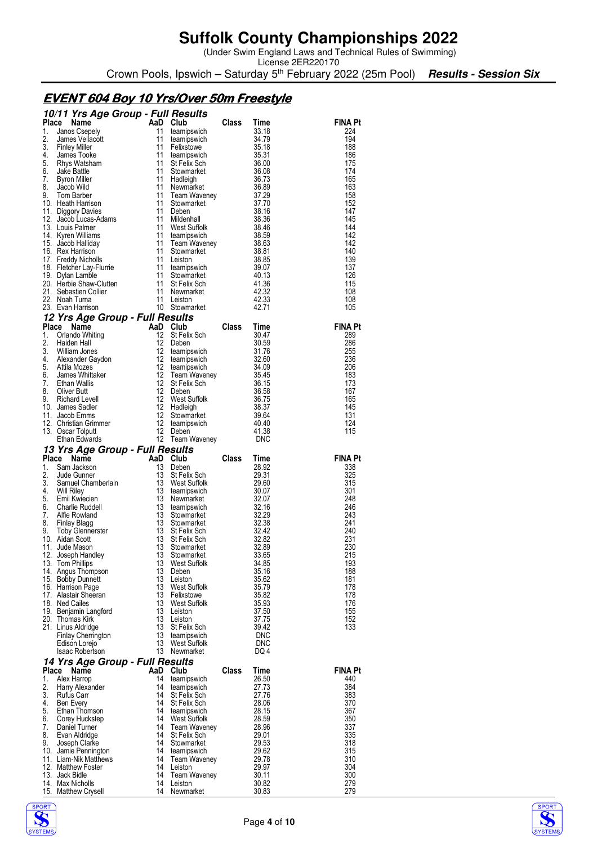(Under Swim England Laws and Technical Rules of Swimming)

License 2ER220170 Crown Pools, Ipswich – Saturday 5<sup>th</sup> February 2022 (25m Pool) **Results - Session Six** 

### **EVENT 604 Boy 10 Yrs/Over 50m Freestyle**

|              | 10/11 Yrs Age Group - Full Results                                                      |                   |                                |              |                      |                |
|--------------|-----------------------------------------------------------------------------------------|-------------------|--------------------------------|--------------|----------------------|----------------|
| <b>Place</b> | Name                                                                                    | AaD               | Club                           | Class        | Time                 | FINA Pt        |
| 1.           | Janos Csepely                                                                           | 11                | teamipswich                    |              | 33.18                | 224            |
| 2.<br>3.     | James Vellacott                                                                         | 11<br>11          | teamipswich                    |              | 34.79<br>35.18       | 194<br>188     |
| 4.           | <b>Finley Miller</b><br>James Tooke                                                     | 11                | Felixstowe<br>teamipswich      |              | 35.31                | 186            |
| 5.           | Rhys Watsham                                                                            | 11                | St Felix Sch                   |              | 36.00                | 175            |
| 6.           | Jake Battle                                                                             | 11                | Stowmarket                     |              | 36.08                | 174            |
| 7.           | Byron Miller                                                                            | 11                | Hadleigh                       |              | 36.73                | 165            |
| 8.           | Jacob Wild                                                                              | 11                | Newmarket                      |              | 36.89                | 163            |
| 9.           | Tom Barber                                                                              | 11                | Team Waveney                   |              | 37.29                | 158            |
|              | 10. Heath Harrison                                                                      | 11                | Stowmarket<br>Deben            |              | 37.70                | 152            |
|              | 11. Diggory Davies<br>12. Jacob Lucas-Adams                                             | 11<br>11          | Mildenhall                     |              | 38.16<br>38.36       | 147<br>145     |
|              | 13. Louis Palmer                                                                        | 11                | West Suffolk                   |              |                      | 144            |
|              | 14. Kyren Williams                                                                      | 11                | teamipswich                    |              | აა<br>38.59<br>~° 63 | 142            |
|              | 15. Jacob Halliday                                                                      | 11                | Team Waveney                   |              | 38.63                | 142            |
|              | 16. Rex Harrison                                                                        | 11                | Stowmarket                     |              | 38.81                | 140            |
|              | 17. Freddy Nicholls                                                                     | 11                | Leiston                        |              | 38.85                | 139            |
|              | 18. Fletcher Lay-Flurrie                                                                | 11                | teamipswich                    |              | 39.07                | 137            |
|              | 19. Dylan Lamble                                                                        | 11<br>11          | Stowmarket<br>St Felix Sch     |              | 40.13<br>41.36       | 126<br>115     |
|              |                                                                                         | -11               | Newmarket                      |              | 42.32                | 108            |
|              | 20. Herbie Shaw-Clutten<br>21. Sebastien Collier<br>22. Noah Turna<br>23. Evan Harrison | 11                | Leiston                        |              | 42.33                | 108            |
|              | 23. Evan Harrison                                                                       |                   | 10 Stowmarket                  |              | 42.71                | 105            |
|              | 12 Yrs Age Group - Full Results                                                         |                   |                                |              |                      |                |
| Place        | Name                                                                                    | AaD Club          |                                | Class        | Time                 | <b>FINA Pt</b> |
| 1.           | Orlando Whiting                                                                         | $12 \overline{ }$ | St Felix Sch                   |              | 30.47                | 289            |
| 2.           | Haiden Hall                                                                             | 12                | Deben                          |              | 30.59                | 286            |
| 3.           | William Jones                                                                           | 12                | teamipswich                    |              | 31.76                | 255            |
| 4.           | Alexander Gaydon                                                                        | 12                | teamipswich                    |              | 32.60                | 236            |
| 5.           | Attila Mozes                                                                            | 12                | teamipswich                    |              | 34.09                | 206            |
| 6.<br>7.     | James Whittaker<br><b>Ethan Wallis</b>                                                  | 12<br>12          | Team Waveney<br>St Felix Sch   |              | 35.45<br>36.15       | 183<br>173     |
| 8.           | Oliver Butt                                                                             | 12                | Deben                          |              | 36.58                | 167            |
| 9.           | <b>Richard Levell</b>                                                                   | 12                | West Suffolk                   |              | 36.75                | 165            |
|              | 10. James Sadler                                                                        | 12                | Hadleigh                       |              | 38.37                | 145            |
|              | 11. Jacob Emms                                                                          | 12                | Stowmarket                     |              | 39.64                | 131            |
|              | 12. Christian Grimmer                                                                   | $\frac{12}{12}$   | teamipswich                    |              | 40.40                | 124            |
|              | 13. Oscar Tolputt                                                                       | 12                | Deben                          |              | 41.38                | 115            |
|              | Ethan Edwards                                                                           |                   |                                |              | DNC                  |                |
|              |                                                                                         |                   | 12 Team Waveney                |              |                      |                |
|              | 13 Yrs Age Group - Full Results                                                         |                   |                                |              |                      |                |
| Place        | Name                                                                                    | AaD Club          |                                | Class        | Time                 | FINA Pt        |
| 1.           | Sam Jackson                                                                             | 13                | Deben                          |              | 28.92                | 338            |
| 2.<br>3.     | Jude Gunner                                                                             | 13                | St Felix Sch<br>West Suffolk   |              | 29.31<br>29.60       | 325<br>315     |
| 4.           |                                                                                         | 13<br>13          | teamipswich                    |              | 30.07                | 301            |
| 5.           |                                                                                         | 13                | Newmarket                      |              | 32.07                | 248            |
| 6.           |                                                                                         | 13                | teamipswich                    |              | 32.16                | 246            |
| 7.           | stamuel Chamberlain<br>Will Riley<br>Emil Kwiecien<br>Charle Rudgad<br>Alfie Rowland    | 13                | Stowmarket                     |              | 32.29                | 243            |
| 8.           | Finlay Blagg                                                                            | 13                | Stowmarket                     |              | 32.38                | 241            |
| 9.           | Toby Glennerster                                                                        | 13                | St Felix Sch                   |              | 32.42                | 240            |
|              | 10. Aidan Scott<br>11. Jude Mason                                                       | 13<br>13          | St Felix Sch<br>Stowmarket     |              | 32.82<br>32.89       | 231<br>230     |
|              | 12. Joseph Handley                                                                      | 13                | Stowmarket                     |              | 33.65                | 215            |
|              | 13. Tom Phillips                                                                        | 13                | West Suffolk                   |              | 34.85                | 193            |
|              | 14. Angus Thompson                                                                      | 13                | Deben                          |              | 35.16                | 188            |
|              | 15. Bobby Dunnett                                                                       | 13                | Leiston                        |              | 35.62                | 181            |
|              | 16. Harrison Page                                                                       | 13                | West Suffolk                   |              | 35.79                | 178            |
|              | 17. Alastair Sheeran                                                                    | 13                | Felixstowe                     |              | 35.82                | 178            |
|              | 18. Ned Cailes                                                                          | 13<br>13          | West Suffolk<br>Leiston        |              | 35.93<br>37.50       | 176<br>155     |
|              | 19. Benjamin Langford<br>20. Thomas Kirk                                                | 13                | Leiston                        |              | 37.75                | 152            |
|              | 21. Linus Aldridge                                                                      | 13                | St Felix Sch                   |              | 39.42                | 133            |
|              | Finlay Cherrington                                                                      | 13                | teamipswich                    |              | <b>DNC</b>           |                |
|              | Edison Lorejo                                                                           | 13                | West Suffolk                   |              | <b>DNC</b>           |                |
|              | <b>Isaac Robertson</b>                                                                  | 13                | Newmarket                      |              | DQ 4                 |                |
|              | 14 Yrs Age Group - Full Results                                                         |                   |                                |              |                      |                |
| Place        | Name                                                                                    | AaD               | Club                           | <b>Class</b> | Time                 | FINA Pt        |
| 1.           | Alex Harrop                                                                             | 14                | teamipswich                    |              | 26.50                | 440            |
| 2.<br>3.     | Harry Alexander<br>Rufus Carr                                                           | 14<br>14          | teamipswich<br>St Felix Sch    |              | 27.73<br>27.76       | 384<br>383     |
| 4.           | Ben Every                                                                               | 14                | St Felix Sch                   |              | 28.06                | 370            |
| 5.           | Ethan Thomson                                                                           | 14                | teamipswich                    |              | 28.15                | 367            |
| 6.           | Corey Huckstep                                                                          | 14                | West Suffolk                   |              | 28.59                | 350            |
| 7.           | Daniel Turner                                                                           | 14                | Team Waveney                   |              | 28.96                | 337            |
| 8.           | Evan Aldridge                                                                           | 14                | St Felix Sch                   |              | 29.01                | 335            |
| 9.           | Joseph Clarke                                                                           | 14                | Stowmarket                     |              | 29.53                | 318            |
|              | 10. Jamie Pennington                                                                    | 14<br>14          | teamipswich                    |              | 29.62                | 315            |
|              | 11. Liam-Nik Matthews<br>12. Matthew Foster                                             | 14                | <b>Team Waveney</b><br>Leiston |              | 29.78<br>29.97       | 310<br>304     |
|              | 13. Jack Bidle                                                                          | 14                | <b>Team Waveney</b>            |              | 30.11                | 300            |
|              | 14. Max Nicholls<br>15. Matthew Crysell                                                 | 14<br>14          | Leiston<br>Newmarket           |              | 30.82<br>30.83       | 279<br>279     |



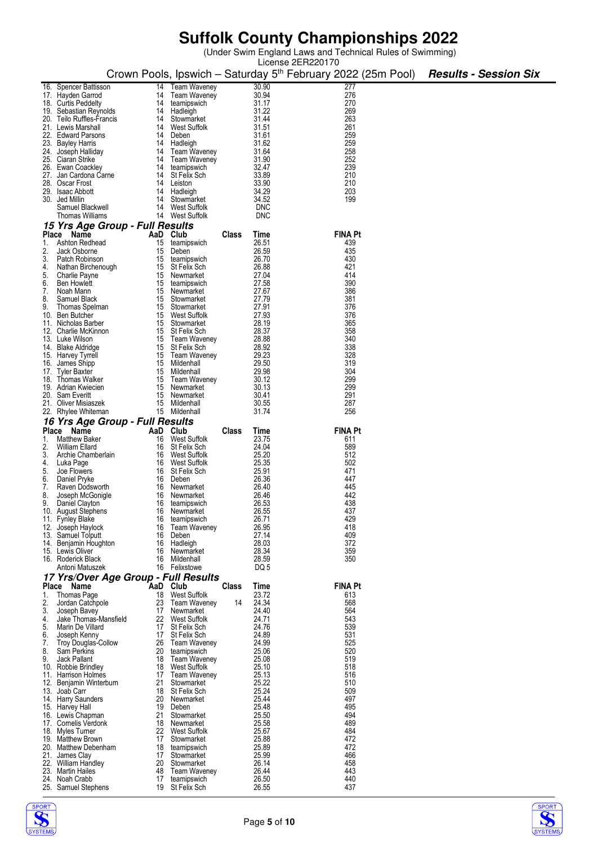(Under Swim England Laws and Technical Rules of Swimming)

|          |                                        |          |                                |              |                | License 2ER220170                                                        |                              |
|----------|----------------------------------------|----------|--------------------------------|--------------|----------------|--------------------------------------------------------------------------|------------------------------|
|          |                                        |          |                                |              |                | Crown Pools, Ipswich – Saturday 5 <sup>th</sup> February 2022 (25m Pool) | <b>Results - Session Six</b> |
|          |                                        |          |                                |              |                |                                                                          |                              |
|          | 16. Spencer Battisson                  | 14       | <b>Team Waveney</b>            |              | 30.90          | 277                                                                      |                              |
|          | 17. Hayden Garrod                      | 14       | <b>Team Waveney</b>            |              | 30.94          | 276                                                                      |                              |
|          | 18. Curtis Peddelty                    | 14       | teamipswich                    |              | 31.17          | 270                                                                      |                              |
|          | 19. Sebastian Reynolds                 | 14       | Hadleigh                       |              | 31.22          | 269                                                                      |                              |
|          | 20. Teilo Ruffles-Francis              | 14       | Stowmarket                     |              | 31.44          | 263                                                                      |                              |
|          | 21. Lewis Marshall                     | 14       | <b>West Suffolk</b>            |              | 31.51          | 261                                                                      |                              |
|          | 22. Edward Parsons                     | 14       | Deben                          |              | 31.61          | 259                                                                      |                              |
|          | 23. Bayley Harris                      | 14       | Hadleigh                       |              | 31.62          | 259                                                                      |                              |
|          | 24. Joseph Halliday                    | 14       | <b>Team Waveney</b>            |              | 31.64          | 258                                                                      |                              |
|          | 25. Ciaran Strike                      | 14       | Team Waveney                   |              | 31.90          | 252                                                                      |                              |
|          | 26. Ewan Coackley                      | 14       | teamipswich                    |              | 32.47          | 239                                                                      |                              |
|          | 27. Jan Cardona Carne                  | 14       | St Felix Sch                   |              | 33.89          | 210                                                                      |                              |
|          | 28. Oscar Frost                        | 14       | Leiston                        |              | 33.90          | 210                                                                      |                              |
|          | 29. Isaac Abbott                       | 14       | Hadleigh                       |              | 34.29          | 203                                                                      |                              |
|          | 30. Jed Millin                         | 14       | Stowmarket                     |              | 34.52          | 199                                                                      |                              |
|          | Samuel Blackwell                       | 14       | West Suffolk                   |              | <b>DNC</b>     |                                                                          |                              |
|          | <b>Thomas Williams</b>                 | 14       | West Suffolk                   |              | <b>DNC</b>     |                                                                          |                              |
|          | 15 Yrs Age Group - Full Results        |          |                                |              |                |                                                                          |                              |
|          | Place<br>Name                          | AaD Club |                                | Class        | Time           | <b>FINA Pt</b>                                                           |                              |
| 1.       | Ashton Redhead                         | 15       | teamipswich                    |              | 26.51          | 439                                                                      |                              |
| 2.       | Jack Osborne                           | 15       | Deben                          |              | 26.59          | 435                                                                      |                              |
| 3.       | Patch Robinson                         | 15       | teamipswich                    |              | 26.70          | 430                                                                      |                              |
| 4.       | Nathan Birchenough                     | 15       | St Felix Sch                   |              | 26.88          | 421                                                                      |                              |
| 5.       | Charlie Payne                          | 15       | Newmarket                      |              | 27.04          | 414                                                                      |                              |
| 6.       | <b>Ben Howlett</b>                     | 15       | teamipswich                    |              | 27.58          | 390                                                                      |                              |
| 7.       | Noah Mann                              | 15       | Newmarket                      |              | 27.67          | 386                                                                      |                              |
| 8.       | Samuel Black                           | 15       | Stowmarket                     |              | 27.79          | 381                                                                      |                              |
| 9.       | Thomas Spelman                         | 15       | Stowmarket                     |              | 27.91          | 376                                                                      |                              |
|          | 10. Ben Butcher                        | 15       | West Suffolk                   |              | 27.93          | 376                                                                      |                              |
|          | 11. Nicholas Barber                    | 15       | Stowmarket                     |              | 28.19          | 365                                                                      |                              |
|          |                                        |          |                                |              | 28.37          | 358                                                                      |                              |
|          | 12. Charlie McKinnon                   | 15       | St Felix Sch                   |              | 28.88          | 340                                                                      |                              |
|          | 13. Luke Wilson                        | 15       | Team Waveney                   |              |                |                                                                          |                              |
|          | 14. Blake Aldridge                     | 15       | St Felix Sch                   |              | 28.92          | 338                                                                      |                              |
|          | 15. Harvey Tyrrell                     | 15       | Team Waveney                   |              | 29.23          | 328                                                                      |                              |
|          | 16. James Shipp                        | 15       | Mildenhall                     |              | 29.50          | 319                                                                      |                              |
|          | 17. Tyler Baxter                       | 15       | Mildenhall                     |              | 29.98          | 304                                                                      |                              |
|          | 18. Thomas Walker                      | 15       | <b>Team Waveney</b>            |              | 30.12          | 299                                                                      |                              |
|          | 19. Adrian Kwiecien                    | 15       | Newmarket                      |              | 30.13          | 299                                                                      |                              |
|          | 20. Sam Everitt                        | 15       | Newmarket                      |              | 30.41          | 291                                                                      |                              |
|          | 21. Oliver Misiaszek                   | 15       | Mildenhall                     |              | 30.55          | 287                                                                      |                              |
|          | 22. Rhylee Whiteman                    | 15       | Mildenhall                     |              |                |                                                                          |                              |
|          |                                        |          |                                |              | 31.74          | 256                                                                      |                              |
|          |                                        |          |                                |              |                |                                                                          |                              |
|          | 16 Yrs Age Group - Full Results        |          |                                |              |                |                                                                          |                              |
| 1.       | Place Name                             | AaD      | Club                           | Class        | Time           | <b>FINA Pt</b>                                                           |                              |
| 2.       | Matthew Baker<br>William Ellard        | 16<br>16 | West Suffolk<br>St Felix Sch   |              | 23.75<br>24.04 | 611<br>589                                                               |                              |
|          |                                        | 16       |                                |              |                |                                                                          |                              |
| 3.       | Archie Chamberlain                     | 16       | West Suffolk<br>West Suffolk   |              | 25.20          | 512                                                                      |                              |
| 4.       | Luka Page                              |          |                                |              | 25.35          | 502                                                                      |                              |
| 5.       | Joe Flowers                            | 16       | St Felix Sch                   |              | 25.91          | 471                                                                      |                              |
|          | Daniel Pryke                           | 16       | Deben                          |              | 26.36          | 447                                                                      |                              |
| 6.<br>7. | Raven Dodsworth                        | 16       | Newmarket                      |              | 26.40          | 445                                                                      |                              |
| 8.       | Joseph McGonigle                       | 16       | Newmarket                      |              | 26.46          | 442                                                                      |                              |
| 9.       | Daniel Clayton                         | 16       | teamipswich                    |              | 26.53          | 438                                                                      |                              |
|          | 10. August Stephens                    | 16       | Newmarket                      |              | 26.55          | 437                                                                      |                              |
|          | 11. Fynley Blake                       | 16<br>16 | teamipswich                    |              | 26.71          | 429<br>418                                                               |                              |
|          | 12. Joseph Haylock                     |          | <b>Team Waveney</b>            |              | 26.95          |                                                                          |                              |
| 13.      | Samuel Tolputt                         | 16<br>16 | Deben                          |              | 27.14<br>28.03 | 409<br>372                                                               |                              |
|          | 14. Benjamin Houghton                  | 16       | Hadleigh<br>Newmarket          |              |                |                                                                          |                              |
|          | 15. Lewis Oliver<br>16. Roderick Black | 16       | Mildenhall                     |              | 28.34<br>28.59 | 359<br>350                                                               |                              |
|          | Antoni Matuszek                        | 16       | Felixstowe                     |              | DQ 5           |                                                                          |                              |
|          |                                        |          |                                |              |                |                                                                          |                              |
|          | 17 Yrs/Over Age Group - Full Results   |          |                                |              |                |                                                                          |                              |
|          | Place Name                             | AaD      | Club                           | <b>Class</b> | Time           | <b>FINA Pt</b>                                                           |                              |
| 1.       | Thomas Page                            | 18       | West Suffolk                   |              | 23.72          | 613                                                                      |                              |
| 2.       | Jordan Catchpole                       | 23       | <b>Team Waveney</b>            | 14           | 24.34          | 568                                                                      |                              |
| 3.       | Joseph Bavey                           | 17       | Newmarket                      |              | 24.40          | 564                                                                      |                              |
| 4.       | Jake Thomas-Mansfield                  | 22       | West Suffolk                   |              | 24.71          | 543                                                                      |                              |
| 5.       | Marin De Villard                       | 17       | St Felix Sch                   |              | 24.76          | 539                                                                      |                              |
| 6.       | Joseph Kenny                           | 17       | St Felix Sch                   |              | 24.89          | 531                                                                      |                              |
| 7.       | <b>Troy Douglas-Collow</b>             | 26       | <b>Team Waveney</b>            |              | 24.99          | 525                                                                      |                              |
| 8.       | Sam Perkins                            | 20       | teamipswich                    |              | 25.06          | 520                                                                      |                              |
| 9.       | Jack Pallant                           | 18       | <b>Team Waveney</b>            |              | 25.08          | 519                                                                      |                              |
| 10.      | Robbie Brindley                        | 18       | <b>West Suffolk</b>            |              | 25.10          | 518                                                                      |                              |
|          | 11. Harrison Holmes                    | 17       | <b>Team Waveney</b>            |              | 25.13          | 516                                                                      |                              |
|          | 12. Benjamin Winterburn                | 21       | Stowmarket                     |              | 25.22          | 510                                                                      |                              |
|          | 13. Joab Carr                          | 18       | St Felix Sch                   |              | 25.24          | 509                                                                      |                              |
|          | 14. Harry Saunders                     | 20       | Newmarket                      |              | 25.44          | 497                                                                      |                              |
|          | 15. Harvey Hall                        | 19       | Deben                          |              | 25.48          | 495                                                                      |                              |
|          | 16. Lewis Chapman                      | 21       | Stowmarket                     |              | 25.50          | 494                                                                      |                              |
|          | 17. Cornelis Verdonk                   | 18       | Newmarket                      |              | 25.58          | 489                                                                      |                              |
|          | 18. Myles Turner                       | 22       | West Suffolk                   |              | 25.67          | 484                                                                      |                              |
|          | 19. Matthew Brown                      | 17       | Stowmarket                     |              | 25.88          | 472                                                                      |                              |
|          | 20. Matthew Debenham                   | 18       | teamipswich                    |              | 25.89          | 472                                                                      |                              |
|          | 21. James Clay                         | 17       | Stowmarket                     |              | 25.99          | 466                                                                      |                              |
|          | 22. William Handley                    | 20       | Stowmarket                     |              | 26.14          | 458                                                                      |                              |
|          | 23. Martin Hailes                      | 48       | <b>Team Waveney</b>            |              | 26.44          | 443                                                                      |                              |
|          | 24. Noah Crabb<br>25. Samuel Stephens  | 17       | teamipswich<br>19 St Felix Sch |              | 26.50<br>26.55 | 440<br>437                                                               |                              |



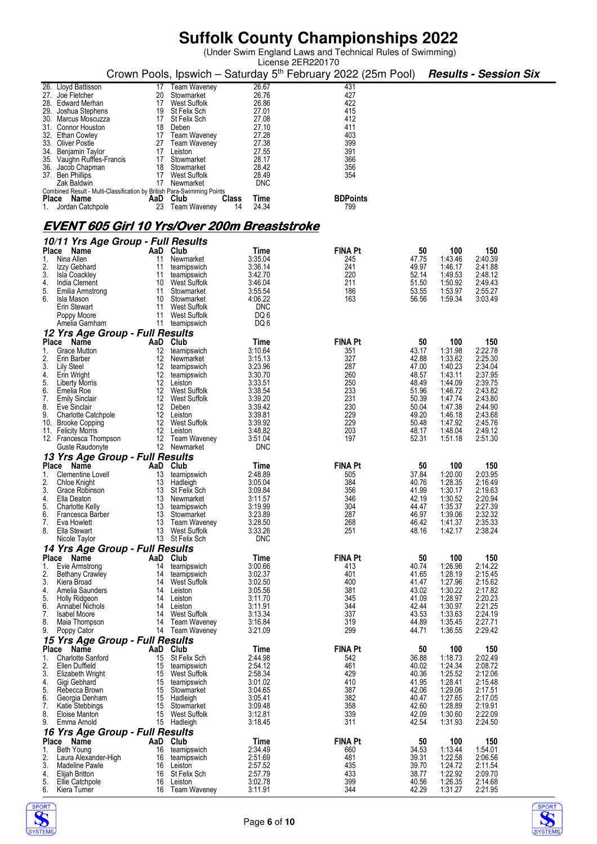(Under Swim England Laws and Technical Rules of Swimming)

|                                                                                       |          |                                     |                                                     | License 2ER220170                                                        |                |                    |                              |
|---------------------------------------------------------------------------------------|----------|-------------------------------------|-----------------------------------------------------|--------------------------------------------------------------------------|----------------|--------------------|------------------------------|
|                                                                                       |          |                                     |                                                     | Crown Pools, Ipswich - Saturday 5 <sup>th</sup> February 2022 (25m Pool) |                |                    | <b>Results - Session Six</b> |
| 26. Lloyd Battisson                                                                   | 17       | <b>Team Waveney</b>                 | 26.67                                               | 431                                                                      |                |                    |                              |
| 27. Joe Fletcher                                                                      | 20       | Stowmarket                          | 26.76                                               | 427                                                                      |                |                    |                              |
| 28. Edward Merhan                                                                     | 17       | West Suffolk                        | 26.86                                               | 422                                                                      |                |                    |                              |
| 29. Joshua Stephens                                                                   | 19       | St Felix Sch                        | 27.01                                               | 415                                                                      |                |                    |                              |
| 30. Marcus Moscuzza                                                                   | 17       | St Felix Sch                        | 27.08                                               | 412                                                                      |                |                    |                              |
| 31. Connor Houston                                                                    | 18       | Deben                               | 27.10                                               | 411                                                                      |                |                    |                              |
| 32. Ethan Cowley                                                                      | 17       | Team Waveney                        | 27.28                                               | 403                                                                      |                |                    |                              |
| 33. Oliver Postle                                                                     | 27       | <b>Team Waveney</b>                 | 27.38                                               | 399                                                                      |                |                    |                              |
| 34. Benjamin Taylor                                                                   | 17       | Leiston                             | 27.55                                               | 391                                                                      |                |                    |                              |
| 35. Vaughn Ruffles-Francis                                                            | 17       | Stowmarket                          | 28.17                                               | 366                                                                      |                |                    |                              |
| 36. Jacob Chapman                                                                     | 18       | Stowmarket                          | 28.42                                               | 356                                                                      |                |                    |                              |
| 37. Ben Phillips                                                                      | 17       | <b>West Suffolk</b><br>17 Newmarket | 28.49                                               | 354                                                                      |                |                    |                              |
| Zak Baldwin<br>Combined Result - Multi-Classification by British Para-Swimming Points |          |                                     | <b>DNC</b>                                          |                                                                          |                |                    |                              |
| Place Name                                                                            | AaD Club |                                     | Time<br>Class                                       | <b>BDPoints</b>                                                          |                |                    |                              |
| Jordan Catchpole<br>1.                                                                | 23       | Team Waveney                        | 24.34<br>14                                         | 799                                                                      |                |                    |                              |
|                                                                                       |          |                                     |                                                     |                                                                          |                |                    |                              |
|                                                                                       |          |                                     | <u>EVENT 605 Girl 10 Yrs/Over 200m Breaststroke</u> |                                                                          |                |                    |                              |
|                                                                                       |          |                                     |                                                     |                                                                          |                |                    |                              |
| 10/11 Yrs Age Group - Full Results                                                    |          |                                     |                                                     |                                                                          |                |                    |                              |
| Place Name                                                                            | AaD Club |                                     | Time                                                | <b>FINA Pt</b>                                                           | 50             | 100                | 150                          |
| 1.<br>Nina Allen                                                                      | 11       | Newmarket                           | 3:35.04                                             | 245                                                                      | 47.75          | 1:43.46            | 2:40.39                      |
| 2.<br>Izzy Gebhard                                                                    | 11       | teamipswich                         | 3:36.14                                             | 241                                                                      | 49.97          | 1:46.17            | 2:41.88                      |
| 3.<br>Isla Coackley                                                                   | 11       | teamipswich                         | 3:42.70                                             | 220                                                                      | 52.14          | 1:49.53            | 2:48.12                      |
| 4.<br>India Clement                                                                   | 10       | West Suffolk                        | 3:46.04                                             | 211                                                                      | 51.50          | 1:50.92            | 2:49.43                      |
| 5.<br>Emilia Armstrong                                                                | 11       | Stowmarket                          | 3:55.54                                             | 186                                                                      | 53.55          | 1:53.97            | 2:55.27                      |
| 6.<br>Isla Mason                                                                      | 10       | Stowmarket                          | 4:06.22                                             | 163                                                                      | 56.56          | 1:59.34            | 3.03.49                      |
| Erin Stewart                                                                          | 11       | West Suffolk                        | <b>DNC</b>                                          |                                                                          |                |                    |                              |
| Poppy Moore<br>Amelia Garnham                                                         | 11<br>11 | West Suffolk<br>teamipswich         | DQ 6<br>DQ 6                                        |                                                                          |                |                    |                              |
|                                                                                       |          |                                     |                                                     |                                                                          |                |                    |                              |
| 12 Yrs Age Group - Full Results<br>Place                                              | AaD Club |                                     |                                                     | <b>FINA Pt</b>                                                           | 50             | 100                | 150                          |
| Name<br><b>Grace Mutton</b>                                                           |          |                                     | Time<br>3:10.64                                     |                                                                          | 43.17          |                    |                              |
| 1.<br>2.<br>Erin Barber                                                               | 12<br>12 | teamipswich<br>Newmarket            | 3:15.13                                             | 351<br>327                                                               | 42.88          | 1:31.98<br>1:33.62 | 2:22.78<br>2:25.30           |
| 3.<br>Lily Steel                                                                      | 12       | teamipswich                         | 3:23.96                                             | 287                                                                      | 47.00          | 1:40.23            | 2:34.04                      |
| 4.<br>Erin Wright                                                                     | 12       | teamipswich                         | 3:30.70                                             | 260                                                                      | 48.57          | 1:43.11            | 2:37.95                      |
| 5.<br><b>Liberty Morris</b>                                                           | 12       | Leiston                             | 3:33.51                                             | 250                                                                      | 48.49          | 1:44.09            | 2:39.75                      |
| 6.<br>Emelia Roe                                                                      | 12       | <b>West Suffolk</b>                 | 3:38.54                                             | 233                                                                      | 51.96          | 1:46.72            | 2:43.82                      |
| 7.<br><b>Emily Sinclair</b>                                                           | 12       | West Suffolk                        | 3:39.20                                             | 231                                                                      | 50.39          | 1:47.74            | 2:43.80                      |
| 8.<br>Eve Sinclair                                                                    | 12       | Deben                               | 3:39.42                                             | 230                                                                      | 50.04          | 1:47.38            | 2:44.90                      |
| 9.<br><b>Charlotte Catchpole</b>                                                      | 12       | Leiston                             | 3:39.81                                             | 229                                                                      | 49.20          | 1:46.18            | 2:43.68                      |
| 10. Brooke Copping                                                                    |          | 12 West Suffolk                     | 3:39.92                                             | 229                                                                      | 50.48          | 1:47.92            | 2:45.76                      |
| 11. Felicity Morris                                                                   | 12       | Leiston                             | 3:48.82                                             | 203                                                                      | 48.17          | 1:48.04            | 2:49.12                      |
| 12. Francesca Thompson                                                                | 12       | Team Waveney                        | 3:51.04                                             | 197                                                                      | 52.31          | 1:51.18            | 2:51.30                      |
| Guste Raudonyte                                                                       |          | 12 Newmarket                        | <b>DNC</b>                                          |                                                                          |                |                    |                              |
| 13 Yrs Age Group - Full Results                                                       |          |                                     |                                                     |                                                                          |                |                    |                              |
| Place Name                                                                            | AaD      | Club                                | Time                                                | <b>FINA Pt</b>                                                           | 50             | 100                | 150                          |
| 1.<br>Clementine Lovell                                                               | 13       | teamipswich                         | 2:48.89                                             | 505                                                                      | 37.84          | 1:20.00            | 2:03.95                      |
| Chloe Knight                                                                          | 13       | Hadleigh                            | 3:05.04                                             | 384                                                                      | 40.76          | 1:28.35            | 2:16.49                      |
| 3.<br>Grace Robinson                                                                  | 13       | St Felix Sch                        | 3:09.84                                             | 356                                                                      | 41.99          | 1:30.17            | 2:19.63                      |
| 4.<br>Ella Deaton                                                                     | 13       | Newmarket                           | 3:11.57                                             | 346                                                                      | 42.19          | 1:30.52            | 2:20.94                      |
| 5.<br>Charlotte Kelly                                                                 | 13       | teamipswich                         | 3:19.99                                             | 304                                                                      | 44.47          | 1:35.37            | 2:27.39                      |
| 6.<br>Francesca Barber                                                                | 13       | Stowmarket                          | 3:23.89                                             | 287                                                                      | 46.97          | 1:39.06            | 2:32.32                      |
| 7.<br>Eva Howlett<br>8.                                                               | 13       | <b>Team Waveney</b>                 | 3:28.50<br>3:33.26                                  | 268<br>251                                                               | 46.42          | 1:41.37            | 2:35.33<br>2:38.24           |
| Ella Stewart<br>Nicole Taylor                                                         | 13<br>13 | West Suffolk<br>St Felix Sch        | <b>DNC</b>                                          |                                                                          | 48.16          | 1:42.17            |                              |
| 14 Yrs Age Group - Full Results                                                       |          |                                     |                                                     |                                                                          |                |                    |                              |
| Place Name                                                                            | AaD      | Club                                | Time                                                | <b>FINA Pt</b>                                                           | 50             | 100                | 150                          |
| 1.<br>Evie Armstrong                                                                  | 14       | teamipswich                         | 3:00.66                                             | 413                                                                      | 40.74          | 1:26.96            | 2:14.22                      |
| 2.<br><b>Bethany Crawley</b>                                                          | 14       | teamipswich                         | 3:02.37                                             | 401                                                                      | 41.65          | 1:28.19            | 2:15.45                      |
| 3.<br>Kiera Broad                                                                     | 14       | <b>West Suffolk</b>                 | 3:02.50                                             | 400                                                                      | 41.47          | 1:27.96            | 2:15.62                      |
| 4.<br>Amelia Saunders                                                                 | 14       | Leiston                             | 3:05.56                                             | 381                                                                      | 43.02          | 1:30.22            | 2:17.82                      |
| 5.<br><b>Holly Ridgeon</b>                                                            | 14       | Leiston                             | 3:11.70                                             | 345                                                                      | 41.09          | 1:28.97            | 2:20.23                      |
| 6.<br>Annabel Nichols                                                                 | 14       | Leiston                             | 3:11.91                                             | 344                                                                      | 42.44          | 1:30.97            | 2:21.25                      |
| 7.<br><b>Isabel Moore</b>                                                             | 14       | West Suffolk                        | 3:13.34                                             | 337                                                                      | 43.53          | 1:33.63            | 2:24.19                      |
| 8.<br>Maia Thompson                                                                   | 14       | Team Waveney                        | 3:16.84                                             | 319                                                                      | 44.89          | 1:35.45            | 2:27.71                      |
| 9.<br>Poppy Cator                                                                     |          | 14 Team Waveney                     | 3:21.09                                             | 299                                                                      | 44.71          | 1:36.55            | 2:29.42                      |
| 15 Yrs Age Group - Full Results                                                       |          |                                     |                                                     |                                                                          |                |                    |                              |
| Place<br>Name                                                                         | AaD Club |                                     | Time                                                | <b>FINA Pt</b>                                                           | 50             | 100                | 150                          |
| <b>Charlotte Sanford</b><br>1.                                                        | 15       | St Felix Sch                        | 2:44.98                                             | 542                                                                      | 36.88          | 1:18.73            | 2:02.49                      |
| 2.<br>Ellen Duffield                                                                  | 15       | teamipswich                         | 2:54.12                                             | 461                                                                      | 40.02          | 1:24.34            | 2:08.72                      |
| 3.<br>Elizabeth Wright                                                                | 15<br>15 | West Suffolk                        | 2:58.34                                             | 429<br>410                                                               | 40.36<br>41.95 | 1:25.52<br>1:28.41 | 2:12.06                      |
| 4.<br>Gigi Gebhard<br>5.<br>Rebecca Brown                                             | 15       | teamipswich                         | 3:01.02<br>3:04.65                                  | 387                                                                      | 42.06          | 1:29.06            | 2:15.48<br>2:17.51           |
| 6.<br>Georgia Denham                                                                  | 15       | Stowmarket<br>Hadleigh              | 3:05.41                                             | 382                                                                      | 40.47          | 1:27.65            | 2:17.05                      |
| 7.<br>Katie Stebbings                                                                 | 15       | Stowmarket                          | 3:09.48                                             | 358                                                                      | 42.60          | 1:28.89            | 2:19.91                      |
| 8.<br>Eloise Manton                                                                   | 15       | West Suffolk                        | 3:12.81                                             | 339                                                                      | 42.09          | 1:30.60            | 2:22.09                      |
| 9.<br>Emma Arnold                                                                     |          | 15 Hadleigh                         | 3:18.45                                             | 311                                                                      | 42.54          | 1:31.93            | 2:24.50                      |
| 16 Yrs Age Group - Full Results                                                       |          |                                     |                                                     |                                                                          |                |                    |                              |
| Place<br>Name                                                                         | AaD      | Club                                | Time                                                | <b>FINA Pt</b>                                                           | 50             | 100                | 150                          |
| 1.<br>Beth Young                                                                      | 16       | teamipswich                         | 2:34.49                                             | 660                                                                      | 34.53          | 1:13.44            | 1:54.01                      |
| 2.<br>Laura Alexander-High                                                            | 16       | teamipswich                         | 2:51.69                                             | 481                                                                      | 39.31          | 1:22.58            | 2:06.56                      |
| 3.<br>Madeline Pawle                                                                  | 16       | Leiston                             | 2:57.52                                             | 435                                                                      | 39.70          | 1:24.72            | 2:11.54                      |
| 4.<br>Elijah Britton                                                                  | 16       | St Felix Sch                        | 2:57.79                                             | 433                                                                      | 38.77          | 1:22.92            | 2:09.70                      |
| 5.<br>Ellie Catchpole                                                                 | 16       | Leiston                             | 3:02.78                                             | 399                                                                      | 40.56          | 1:26.35            | 2:14.68                      |
| 6.<br>Kiera Turner                                                                    | 16       | Team Waveney                        | 3:11.91                                             | 344                                                                      | 42.29          | 1:31.27            | 2:21.95                      |



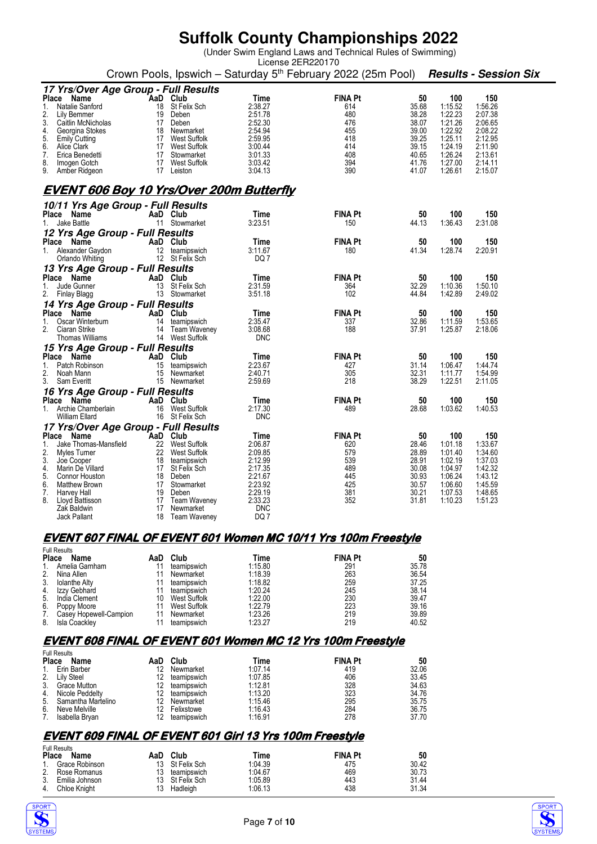(Under Swim England Laws and Technical Rules of Swimming)

| License 2ER220170                                                                                     |  |
|-------------------------------------------------------------------------------------------------------|--|
| Crown Pools, Ipswich – Saturday 5 <sup>th</sup> February 2022 (25m Pool) <b>Results - Session Six</b> |  |

|          | 17 Yrs/Over Age Group - Full Results            |          |                                |                    |                |                |                    |                    |
|----------|-------------------------------------------------|----------|--------------------------------|--------------------|----------------|----------------|--------------------|--------------------|
| Place    | Name                                            | AaD Club |                                | Time               | <b>FINA Pt</b> | 50             | 100                | 150                |
| 1.       | Natalie Sanford                                 |          | 18 St Felix Sch                | 2:38.27            | 614            | 35.68          | 1:15.52            | 1:56.26            |
| 2.       | Lily Bemmer                                     |          | 19 Deben                       | 2:51.78            | 480            | 38.28          | 1:22.23            | 2:07.38            |
| 3.       | Caitlin McNicholas                              |          | 17 Deben                       | 2:52.30            | 476            | 38.07          | 1:21.26            | 2:06.65            |
| 4.       | Georgina Stokes                                 |          | 18 Newmarket                   | 2:54.94            | 455            | 39.00          | 1:22.92            | 2:08.22            |
| 5.       | <b>Emily Cutting</b>                            |          | 17 West Suffolk                | 2:59.95            | 418            | 39.25          | 1:25.11            | 2:12.95            |
| 6.       | Alice Clark                                     |          | 17 West Suffolk                | 3:00.44            | 414            | 39.15          | 1:24.19            | 2:11.90            |
| 7.       | Erica Benedetti                                 |          | 17 Stowmarket                  | 3:01.33            | 408            | 40.65          | 1:26.24            | 2:13.61            |
| 8.       | Imogen Gotch                                    | 17       | West Suffolk                   | 3:03.42            | 394            | 41.76          | 1:27.00            | 2:14.11            |
| 9.       | Amber Ridgeon                                   |          | 17 Leiston                     | 3:04.13            | 390            | 41.07          | 1:26.61            | 2:15.07            |
|          | <u>EVENT 606 Boy 10 Yrs/Over 200m Butterfly</u> |          |                                |                    |                |                |                    |                    |
|          | 10/11 Yrs Age Group - Full Results              |          |                                |                    |                |                |                    |                    |
|          | Place Name                                      | AaD Club |                                | Time               | <b>FINA Pt</b> | 50             | 100                | 150                |
| 1.       | Jake Battle                                     |          | 11 Stowmarket                  | 3:23.51            | 150            | 44.13          | 1:36.43            | 2:31.08            |
|          | 12 Yrs Age Group - Full Results                 |          |                                |                    |                |                |                    |                    |
|          | Place Name                                      | AaD Club |                                | Time               | <b>FINA Pt</b> | 50             | 100                | 150                |
|          | 1. Alexander Gaydon                             |          | 12 teamipswich                 | 3:11.67            | 180            | 41.34          | 1:28.74            | 2:20.91            |
|          | Orlando Whiting                                 |          | 12 St Felix Sch                | DQ 7               |                |                |                    |                    |
|          | 13 Yrs Age Group - Full Results                 |          |                                |                    |                |                |                    |                    |
|          | Place Name                                      | AaD Club |                                | Time               | <b>FINA Pt</b> | 50             | 100                | 150                |
| 1.       | Jude Gunner                                     |          | 13 St Felix Sch                | 2:31.59            | 364            | 32.29          | 1:10.36            | 1:50.10            |
| 2.       | Finlay Blagg                                    |          | 13 Stowmarket                  | 3:51.18            | 102            | 44.84          | 1:42.89            | 2:49.02            |
|          |                                                 |          |                                |                    |                |                |                    |                    |
|          | 14 Yrs Age Group - Full Results<br>Place Name   | AaD Club |                                | Time               | <b>FINA Pt</b> |                |                    |                    |
| 1.       | Oscar Winterburn                                | 14       |                                | 2:35.47            | 337            | 50<br>32.86    | 100<br>1:11.59     | 150<br>1:53.65     |
| 2.       | Ciaran Strike                                   |          | teamipswich<br>14 Team Waveney | 3:08.68            | 188            | 37.91          | 1:25.87            | 2:18.06            |
|          | Thomas Williams                                 |          | 14 West Suffolk                | <b>DNC</b>         |                |                |                    |                    |
|          |                                                 |          |                                |                    |                |                |                    |                    |
|          | 15 Yrs Age Group - Full Results<br>Place Name   |          |                                |                    | <b>FINA Pt</b> | 50             | 100                | 150                |
| 1.       | Patch Robinson                                  | AaD Club | 15 teamipswich                 | Time<br>2:23.67    | 427            | 31.14          | 1:06.47            | 1:44.74            |
| 2.       | Noah Mann                                       | 15       | Newmarket                      | 2:40.71            | 305            | 32.31          | 1:11.77            | 1:54.99            |
| 3.       | Sam Everitt                                     |          | 15 Newmarket                   | 2:59.69            | 218            | 38.29          | 1:22.51            | 2:11.05            |
|          |                                                 |          |                                |                    |                |                |                    |                    |
|          | 16 Yrs Age Group - Full Results                 |          |                                |                    |                |                |                    |                    |
|          | Place Name                                      | AaD Club |                                | Time               | <b>FINA Pt</b> | 50             | 100                | 150                |
| $1_{-}$  | Archie Chamberlain                              |          | 16 West Suffolk                | 2:17.30            | 489            | 28.68          | 1:03.62            | 1:40.53            |
|          | William Ellard                                  |          | 16 St Felix Sch                | <b>DNC</b>         |                |                |                    |                    |
|          | 17 Yrs/Over Age Group - Full Results            |          |                                |                    |                |                |                    |                    |
|          | Place Name                                      | AaD Club |                                | Time               | <b>FINA Pt</b> | 50             | 100                | 150                |
| 1.       | Jake Thomas-Mansfield                           | 22       | West Suffolk                   | 2:06.87            | 620            | 28.46          | 1:01.18            | 1:33.67            |
| 2.       | Myles Turner                                    | 22       | West Suffolk                   | 2:09.85            | 579            | 28.89          | 1:01.40            | 1:34.60            |
| 3.       | Joe Cooper                                      |          | 18 teamipswich                 | 2:12.99            | 539<br>489     | 28.91<br>30.08 | 1:02.19            | 1:37.03<br>1:42.32 |
| 4.<br>5. | Marin De Villard                                |          | 17 St Felix Sch                | 2:17.35            |                |                | 1:04.97            |                    |
|          | <b>Connor Houston</b>                           |          | 18 Deben                       | 2:21.67<br>2:23.92 | 445<br>425     | 30.93          | 1:06.24            | 1:43.12            |
| 6.<br>7. | Matthew Brown<br>Harvey Hall                    |          | 17 Stowmarket<br>19 Deben      | 2:29.19            | 381            | 30.57<br>30.21 | 1:06.60<br>1:07.53 | 1:45.59<br>1:48.65 |
| 8.       | Lloyd Battisson                                 |          | 17 Team Waveney                | 2:33.23            | 352            | 31.81          | 1:10.23            | 1:51.23            |
|          | Zak Baldwin                                     | 17       | Newmarket                      | <b>DNC</b>         |                |                |                    |                    |
|          | Jack Pallant                                    |          | 18 Team Waveney                | DQ 7               |                |                |                    |                    |

#### **EVENT 607 FINAL OF EVENT 601 Women MC 10/11 Yrs 100m Freestyle**

|              | <b>Full Results</b>    |     |              |         |                |       |
|--------------|------------------------|-----|--------------|---------|----------------|-------|
| <b>Place</b> | <b>Name</b>            | AaD | Club         | Time    | <b>FINA Pt</b> | 50    |
| 1.           | Amelia Garnham         |     | teamipswich  | 1:15.80 | 291            | 35.78 |
| 2.           | Nina Allen             |     | Newmarket    | 1:18.39 | 263            | 36.54 |
| 3.           | <b>Iolanthe Alty</b>   |     | teamipswich  | 1:18.82 | 259            | 37.25 |
| 4.           | Izzy Gebhard           |     | teamipswich  | 1:20.24 | 245            | 38.14 |
| 5.           | India Clement          | 10  | West Suffolk | 1:22.00 | 230            | 39.47 |
| 6.           | Poppy Moore            |     | West Suffolk | 1.22.79 | 223            | 39.16 |
| 7.           | Casey Hopewell-Campion |     | Newmarket    | 1.23.26 | 219            | 39.89 |
| 8.           | Isla Coackley          |     | teamipswich  | 1:23.27 | 219            | 40.52 |

### **EVENT 608 FINAL OF EVENT 601 Women MC 12 Yrs 100m Freestyle**

|              | <b>Full Results</b>   |     |             |         |                |       |
|--------------|-----------------------|-----|-------------|---------|----------------|-------|
| <b>Place</b> | Name                  |     | AaD Club    | Time    | <b>FINA Pt</b> | 50    |
| $1_{\cdot}$  | Erin Barber           | 12  | Newmarket   | 1:07.14 | 419            | 32.06 |
| 2.           | <b>Lily Steel</b>     | 12  | teamipswich | 1:07.85 | 406            | 33.45 |
| 3.           | Grace Mutton          | 12  | teamipswich | 1:12.81 | 328            | 34.63 |
| 4.           | Nicole Peddelty       | 12  | teamipswich | 1:13.20 | 323            | 34.76 |
|              | 5. Samantha Martelino | 12. | Newmarket   | 1:15.46 | 295            | 35.75 |
| 6.           | Neve Melville         | 12. | Felixstowe  | 1:16.43 | 284            | 36.75 |
| 7.           | Isabella Bryan        |     | teamipswich | 1:16.91 | 278            | 37.70 |

### **EVENT 609 FINAL OF EVENT 601 Girl 13 Yrs 100m Freestyle**

|       | <b>Full Results</b> |     |                 |         |                |       |
|-------|---------------------|-----|-----------------|---------|----------------|-------|
| Place | Name                | AaD | Club            | Time    | <b>FINA Pt</b> | 50    |
|       | Grace Robinson      |     | 13 St Felix Sch | 1:04.39 | 475            | 30.42 |
| 2.    | Rose Romanus        | 13  | teamipswich     | 1:04.67 | 469            | 30.73 |
|       | Emilia Johnson      |     | 13 St Felix Sch | 1:05.89 | 443            | 31.44 |
| 4.    | Chloe Knight        |     | Hadleigh        | 1:06.13 | 438            | 31.34 |



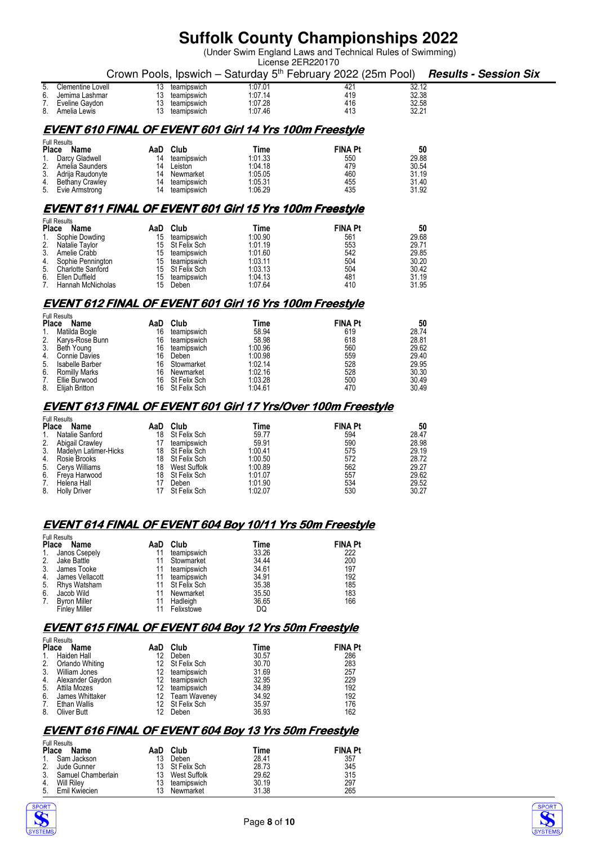(Under Swim England Laws and Technical Rules of Swimming)

|                                                              | License 2ER220170                                                                                                                                                                   |                                                     |                                                                                                                       |                                                                                          |                                                                          |                                                                            |                              |  |
|--------------------------------------------------------------|-------------------------------------------------------------------------------------------------------------------------------------------------------------------------------------|-----------------------------------------------------|-----------------------------------------------------------------------------------------------------------------------|------------------------------------------------------------------------------------------|--------------------------------------------------------------------------|----------------------------------------------------------------------------|------------------------------|--|
|                                                              |                                                                                                                                                                                     |                                                     |                                                                                                                       |                                                                                          | Crown Pools, Ipswich - Saturday 5 <sup>th</sup> February 2022 (25m Pool) |                                                                            | <b>Results - Session Six</b> |  |
| 5.<br>6.<br>7.<br>8.                                         | <b>Clementine Lovell</b><br>Jemima Lashmar<br>Eveline Gaydon<br>Amelia Lewis                                                                                                        | 13<br>13<br>13<br>13                                | teamipswich<br>teamipswich<br>teamipswich<br>teamipswich                                                              | 1:07.01<br>1:07.14<br>1:07.28<br>1:07.46                                                 | 421<br>419<br>416<br>413                                                 | 32.12<br>32.38<br>32.58<br>32.21                                           |                              |  |
|                                                              |                                                                                                                                                                                     |                                                     |                                                                                                                       | <b>EVENT 610 FINAL OF EVENT 601 Girl 14 Yrs 100m Freestyle</b>                           |                                                                          |                                                                            |                              |  |
| 1.<br>2.<br>3.<br>4.<br>5.                                   | <b>Full Results</b><br>Place<br>Name<br>Darcy Gladwell<br>Amelia Saunders<br>Adrija Raudonyte<br>Bethany Crawley<br>Evie Armstrong                                                  | 14<br>14<br>14<br>14<br>14                          | AaD Club<br>teamipswich<br>Leiston<br>Newmarket<br>teamipswich<br>teamipswich                                         | Time<br>1:01.33<br>1:04.18<br>1:05.05<br>1:05.31<br>1:06.29                              | <b>FINA Pt</b><br>550<br>479<br>460<br>455<br>435                        | 50<br>29.88<br>30.54<br>31.19<br>31.40<br>31.92                            |                              |  |
|                                                              |                                                                                                                                                                                     |                                                     |                                                                                                                       | <b>EVENT 611 FINAL OF EVENT 601 Girl 15 Yrs 100m Freestyle</b>                           |                                                                          |                                                                            |                              |  |
| Place<br>2.<br>3.<br>4.<br>5.<br>6.<br>7.                    | <b>Full Results</b><br>Name<br>Sophie Dowding<br>Natalie Taylor<br>Amelie Crabb<br>Sophie Pennington<br><b>Charlotte Sanford</b><br>Ellen Duffield<br>Hannah McNicholas             | AaD<br>15<br>15<br>15<br>15<br>15<br>15<br>15       | Club<br>teamipswich<br>St Felix Sch<br>teamipswich<br>teamipswich<br>St Felix Sch<br>teamipswich<br>Deben             | Time<br>1:00.90<br>1:01.19<br>1:01.60<br>1:03.11<br>1:03.13<br>1:04.13<br>1:07.64        | <b>FINA Pt</b><br>561<br>553<br>542<br>504<br>504<br>481<br>410          | 50<br>29.68<br>29.71<br>29.85<br>30.20<br>30.42<br>31.19<br>31.95          |                              |  |
|                                                              |                                                                                                                                                                                     |                                                     |                                                                                                                       | <b>EVENT 612 FINAL OF EVENT 601 Girl 16 Yrs 100m Freestyle</b>                           |                                                                          |                                                                            |                              |  |
| <b>Place</b><br>1.<br>2.<br>3.<br>4.<br>5.<br>6.<br>7.<br>8. | <b>Full Results</b><br>Name<br>Matilda Bogle<br>Karys-Rose Bunn<br>Beth Young<br><b>Connie Davies</b><br>Isabelle Barber<br><b>Romilly Marks</b><br>Ellie Burwood<br>Elijah Britton | AaD<br>16<br>16<br>16<br>16<br>16<br>16<br>16<br>16 | Club<br>teamipswich<br>teamipswich<br>teamipswich<br>Deben<br>Stowmarket<br>Newmarket<br>St Felix Sch<br>St Felix Sch | Time<br>58.94<br>58.98<br>1:00.96<br>1:00.98<br>1:02.14<br>1:02.16<br>1:03.28<br>1:04.61 | <b>FINA Pt</b><br>619<br>618<br>560<br>559<br>528<br>528<br>500<br>470   | 50<br>28.74<br>28.81<br>29.62<br>29.40<br>29.95<br>30.30<br>30.49<br>30.49 |                              |  |

#### **EVENT613 FINAL OF 613 FINAL OF 613 EVENT601 Girl 17 Yrs/Over 100m Freestyle 601 Girl 17 Yrs/Over 100m Freestyle**

|              | <b>Full Results</b>   |     |                 |         |                |       |  |  |
|--------------|-----------------------|-----|-----------------|---------|----------------|-------|--|--|
| <b>Place</b> | Name                  | AaD | Club            | Time    | <b>FINA Pt</b> | 50    |  |  |
| 1.           | Natalie Sanford       | 18  | St Felix Sch    | 59.77   | 594            | 28.47 |  |  |
| 2.           | Abigail Crawley       |     | teamipswich     | 59.91   | 590            | 28.98 |  |  |
| 3.           | Madelyn Latimer-Hicks |     | 18 St Felix Sch | 1:00.41 | 575            | 29.19 |  |  |
| 4.           | Rosie Brooks          |     | 18 St Felix Sch | 1:00.50 | 572            | 28.72 |  |  |
| 5.           | Cerys Williams        | 18  | West Suffolk    | 1:00.89 | 562            | 29.27 |  |  |
|              | 6. Freya Harwood      |     | 18 St Felix Sch | 1:01.07 | 557            | 29.62 |  |  |
| 7.           | Helena Hall           |     | Deben           | 1:01.90 | 534            | 29.52 |  |  |
| 8.           | <b>Holly Driver</b>   | 17  | St Felix Sch    | 1:02.07 | 530            | 30.27 |  |  |

#### **EVENT 614 FINAL OF EVENT 604 Boy 10/11 Yrs 50m Freestyle**

|              | <b>Full Results</b>  |    |                 |       |                |  |  |  |
|--------------|----------------------|----|-----------------|-------|----------------|--|--|--|
| <b>Place</b> | Name                 |    | AaD Club        | Time  | <b>FINA Pt</b> |  |  |  |
|              | 1. Janos Csepely     | 11 | teamipswich     | 33.26 | 222            |  |  |  |
| 2.           | Jake Battle          |    | 11 Stowmarket   | 34.44 | 200            |  |  |  |
| 3.           | James Tooke          |    | teamipswich     | 34.61 | 197            |  |  |  |
| 4.           | James Vellacott      | 11 | teamipswich     | 34.91 | 192            |  |  |  |
| 5.           | Rhys Watsham         |    | 11 St Felix Sch | 35.38 | 185            |  |  |  |
| 6.           | Jacob Wild           | 11 | Newmarket       | 35.50 | 183            |  |  |  |
| 7.           | <b>Byron Miller</b>  | 11 | Hadleigh        | 36.65 | 166            |  |  |  |
|              | <b>Finley Miller</b> |    | Felixstowe      | DQ    |                |  |  |  |

#### **EVENT615 FINAL OF 615 EVENT604 Boy 12 Yrs 50m Freestyle 604 Yrs Freestyle**

|              | <b>Full Results</b> |     |                 |       |                |  |  |  |
|--------------|---------------------|-----|-----------------|-------|----------------|--|--|--|
| <b>Place</b> | Name                | AaD | Club            | Time  | <b>FINA Pt</b> |  |  |  |
|              | Haiden Hall         | 12  | Deben           | 30.57 | 286            |  |  |  |
| 2.           | Orlando Whiting     |     | 12 St Felix Sch | 30.70 | 283            |  |  |  |
| 3.           | William Jones       | 12. | teamipswich     | 31.69 | 257            |  |  |  |
| 4.           | Alexander Gaydon    | 12  | teamipswich     | 32.95 | 229            |  |  |  |
| 5.           | Attila Mozes        | 12  | teamipswich     | 34.89 | 192            |  |  |  |
| 6.           | James Whittaker     | 12. | Team Waveney    | 34.92 | 192            |  |  |  |
| 7.           | <b>Ethan Wallis</b> |     | 12 St Felix Sch | 35.97 | 176            |  |  |  |
| 8.           | Oliver Butt         | 12  | Deben           | 36.93 | 162            |  |  |  |

### **EVENT 616 FINAL OF EVENT 604 Boy 13 Yrs 50m Freestyle**

|               | <b>Full Results</b> |     |                 |       |                |
|---------------|---------------------|-----|-----------------|-------|----------------|
| Place<br>Name |                     | AaD | Club            | Time  | <b>FINA Pt</b> |
|               | Sam Jackson         | 13  | Deben           | 28.41 | 357            |
|               | Jude Gunner         |     | 13 St Felix Sch | 28.73 | 345            |
|               | Samuel Chamberlain  | 13  | West Suffolk    | 29.62 | 315            |
|               | Will Rilev          | 13  | teamipswich     | 30.19 | 297            |
| 5.            | Emil Kwiecien       | 13  | Newmarket       | 31.38 | 265            |



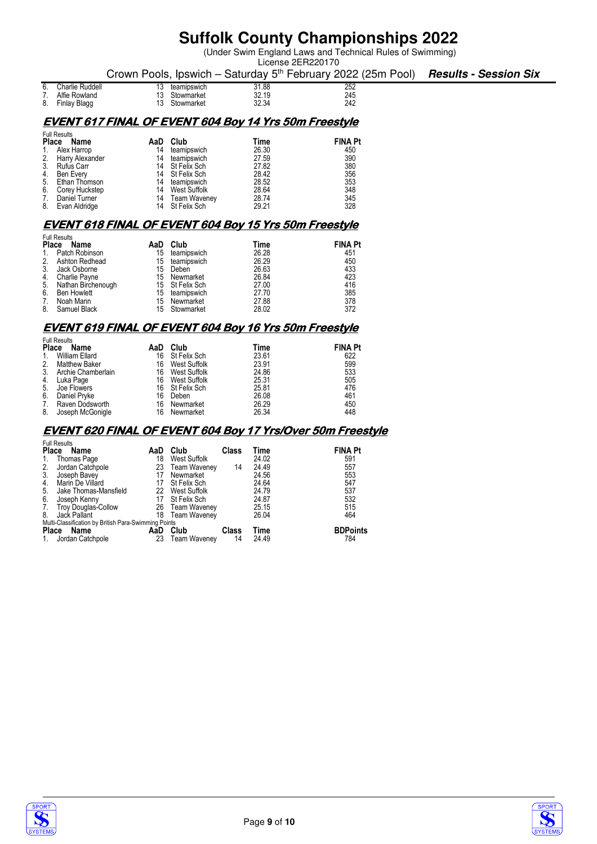(Under Swim England Laws and Technical Rules of Swimming)

| License 2ER220170                                                                           |  |
|---------------------------------------------------------------------------------------------|--|
| Crown Pools, Ipswich – Saturday $5th$ February 2022 (25m Pool) <b>Results - Session Six</b> |  |

| 6. | Charlie Ruddell | teamipswich | 31.88 | 252 |
|----|-----------------|-------------|-------|-----|
| 7. | Alfie Rowland   | Stowmarket  | 32.19 | 245 |
| 8. | Finlay Blagg    | Stowmarket  | 32.34 | 242 |

#### **EVENT 617 FINAL OF EVENT 604 Boy 14 Yrs 50m Freestyle**

| <b>Full Results</b>  |     |              |                                                                                      |                |  |  |
|----------------------|-----|--------------|--------------------------------------------------------------------------------------|----------------|--|--|
| <b>Place</b><br>Name | AaD | Club         | Time                                                                                 | <b>FINA Pt</b> |  |  |
| Alex Harrop          | 14  | teamipswich  | 26.30                                                                                | 450            |  |  |
| Harry Alexander      | 14  | teamipswich  | 27.59                                                                                | 390            |  |  |
| Rufus Carr           |     |              | 27.82                                                                                | 380            |  |  |
| Ben Every            |     |              | 28.42                                                                                | 356            |  |  |
| Ethan Thomson        | 14  |              | 28.52                                                                                | 353            |  |  |
| Corey Huckstep       | 14  | West Suffolk | 28.64                                                                                | 348            |  |  |
| Daniel Turner        | 14  |              | 28.74                                                                                | 345            |  |  |
| Evan Aldridge        |     |              | 29.21                                                                                | 328            |  |  |
|                      |     |              | 14 St Felix Sch<br>14 St Felix Sch<br>teamipswich<br>Team Waveney<br>14 St Felix Sch |                |  |  |

### **EVENT 618 FINAL OF EVENT 604 Boy 15 Yrs 50m Freestyle**

| <b>Full Results</b> |                                                                                                                                                            |             |                                               |                |  |  |  |
|---------------------|------------------------------------------------------------------------------------------------------------------------------------------------------------|-------------|-----------------------------------------------|----------------|--|--|--|
| Name                | AaD                                                                                                                                                        | Club        | Time                                          | <b>FINA Pt</b> |  |  |  |
|                     | 15                                                                                                                                                         | teamipswich | 26.28                                         | 451            |  |  |  |
|                     | 15                                                                                                                                                         | teamipswich | 26.29                                         | 450            |  |  |  |
|                     | 15                                                                                                                                                         | Deben       | 26.63                                         | 433            |  |  |  |
|                     | 15                                                                                                                                                         |             | 26.84                                         | 423            |  |  |  |
|                     |                                                                                                                                                            |             | 27.00                                         | 416            |  |  |  |
|                     | 15                                                                                                                                                         | teamipswich | 27.70                                         | 385            |  |  |  |
|                     | 15                                                                                                                                                         | Newmarket   | 27.88                                         | 378            |  |  |  |
|                     |                                                                                                                                                            |             | 28.02                                         | 372            |  |  |  |
|                     | <b>Place</b><br>Patch Robinson<br>Ashton Redhead<br>Jack Osborne<br>Charlie Payne<br>Nathan Birchenough<br><b>Ben Howlett</b><br>Noah Mann<br>Samuel Black |             | Newmarket<br>15 St Felix Sch<br>15 Stowmarket |                |  |  |  |

### **EVENT 619 FINAL OF EVENT 604 Boy 16 Yrs 50m Freestyle**

|                | <b>Full Results</b>   |    |                 |       |                |  |  |  |
|----------------|-----------------------|----|-----------------|-------|----------------|--|--|--|
| <b>Place</b>   | Name                  |    | AaD Club        | Time  | <b>FINA Pt</b> |  |  |  |
| $\mathbf{1}$ . | William Ellard        |    | 16 St Felix Sch | 23.61 | 622            |  |  |  |
| 2.             | <b>Matthew Baker</b>  | 16 | West Suffolk    | 23.91 | 599            |  |  |  |
|                | 3. Archie Chamberlain | 16 | West Suffolk    | 24.86 | 533            |  |  |  |
|                | 4. Luka Page          | 16 | West Suffolk    | 25.31 | 505            |  |  |  |
|                | 5. Joe Flowers        |    | 16 St Felix Sch | 25.81 | 476            |  |  |  |
| 6.             | Daniel Pryke          | 16 | Deben           | 26.08 | 461            |  |  |  |
|                | 7. Raven Dodsworth    |    | 16 Newmarket    | 26.29 | 450            |  |  |  |
| 8.             | Joseph McGonigle      |    | 16 Newmarket    | 26.34 | 448            |  |  |  |

#### **EVENT 620 FINAL OF EVENT 604 Boy 17 Yrs/Over 50m Freestyle**

|              | <b>Full Results</b>                                  |     |                     |       |       |                 |  |  |  |
|--------------|------------------------------------------------------|-----|---------------------|-------|-------|-----------------|--|--|--|
| <b>Place</b> | Name                                                 | AaD | Club                | Class | Time  | <b>FINA Pt</b>  |  |  |  |
|              | Thomas Page                                          | 18  | West Suffolk        |       | 24.02 | 591             |  |  |  |
| 2.           | Jordan Catchpole                                     | 23  | <b>Team Waveney</b> | 14    | 24.49 | 557             |  |  |  |
| 3.           | Joseph Bavey                                         |     | Newmarket           |       | 24.56 | 553             |  |  |  |
| 4.           | Marin De Villard                                     | 17  | St Felix Sch        |       | 24.64 | 547             |  |  |  |
| 5.           | Jake Thomas-Mansfield                                | 22  | West Suffolk        |       | 24.79 | 537             |  |  |  |
| 6.           | Joseph Kenny                                         | 17  | St Felix Sch        |       | 24.87 | 532             |  |  |  |
| 7.           | Troy Douglas-Collow                                  |     | 26 Team Waveney     |       | 25.15 | 515             |  |  |  |
| 8.           | Jack Pallant                                         | 18  | Team Waveney        |       | 26.04 | 464             |  |  |  |
|              | Multi-Classification by British Para-Swimming Points |     |                     |       |       |                 |  |  |  |
| <b>Place</b> | Name                                                 | AaD | Club                | Class | Time  | <b>BDPoints</b> |  |  |  |
|              | Jordan Catchpole                                     | 23  | <b>Team Waveney</b> | 14    | 24.49 | 784             |  |  |  |